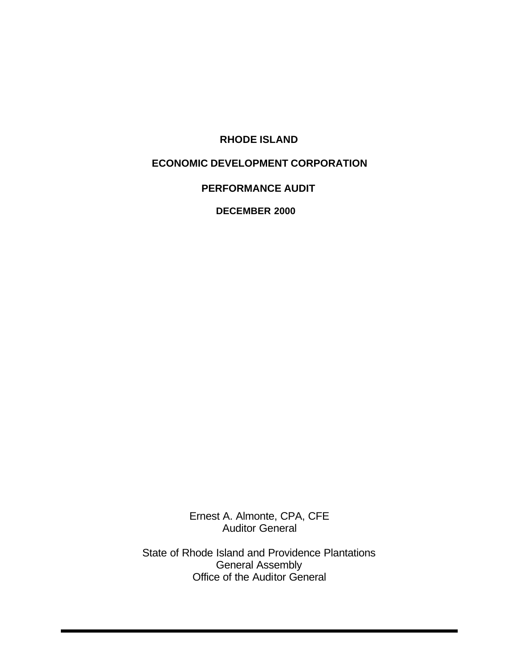### **RHODE ISLAND**

### **ECONOMIC DEVELOPMENT CORPORATION**

### **PERFORMANCE AUDIT**

**DECEMBER 2000**

Ernest A. Almonte, CPA, CFE Auditor General

State of Rhode Island and Providence Plantations General Assembly Office of the Auditor General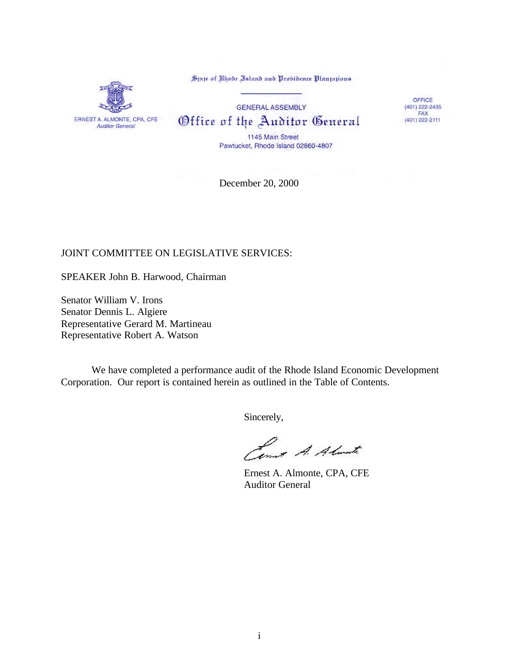ERNEST A. ALMONTE, CPA, CFE Auditor General

State of Rhode Island and Probidence Plantations

**GENERAL ASSEMBLY** Office of the Auditor General

OFFICE (401) 222-2435<br>FAX (401) 222-2111

1145 Main Street Pawtucket, Rhode Island 02860-4807

December 20, 2000

### JOINT COMMITTEE ON LEGISLATIVE SERVICES:

SPEAKER John B. Harwood, Chairman

Senator William V. Irons Senator Dennis L. Algiere Representative Gerard M. Martineau Representative Robert A. Watson

We have completed a performance audit of the Rhode Island Economic Development Corporation. Our report is contained herein as outlined in the Table of Contents.

Sincerely,

Lowest A. Almost

Ernest A. Almonte, CPA, CFE Auditor General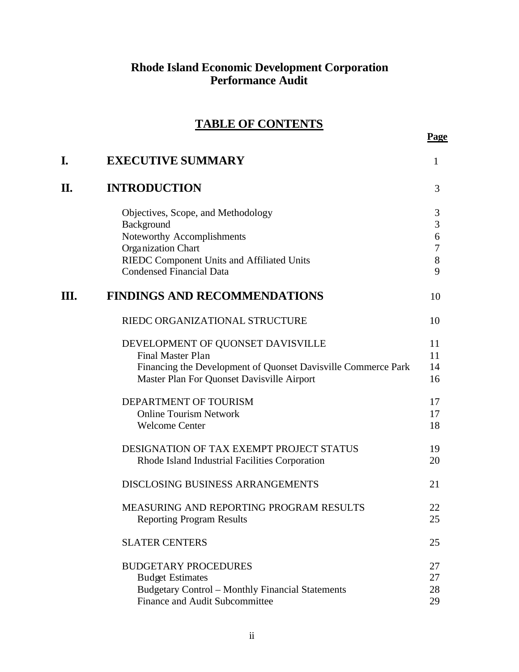### **Rhode Island Economic Development Corporation Performance Audit**

# **TABLE OF CONTENTS**

|    |                                                                                                             | Page                         |
|----|-------------------------------------------------------------------------------------------------------------|------------------------------|
| I. | <b>EXECUTIVE SUMMARY</b>                                                                                    | 1                            |
| П. | <b>INTRODUCTION</b>                                                                                         | 3                            |
|    | Objectives, Scope, and Methodology                                                                          | $\sqrt{3}$<br>$\overline{3}$ |
|    | Background<br>Noteworthy Accomplishments                                                                    | $\overline{6}$               |
|    | Organization Chart                                                                                          | $\overline{7}$               |
|    | RIEDC Component Units and Affiliated Units<br><b>Condensed Financial Data</b>                               | 8<br>9                       |
| Ш. | <b>FINDINGS AND RECOMMENDATIONS</b>                                                                         | 10                           |
|    | RIEDC ORGANIZATIONAL STRUCTURE                                                                              | 10                           |
|    | DEVELOPMENT OF QUONSET DAVISVILLE                                                                           | 11                           |
|    | <b>Final Master Plan</b>                                                                                    | 11                           |
|    | Financing the Development of Quonset Davisville Commerce Park<br>Master Plan For Quonset Davisville Airport | 14<br>16                     |
|    | DEPARTMENT OF TOURISM                                                                                       | 17                           |
|    | <b>Online Tourism Network</b>                                                                               | 17                           |
|    | <b>Welcome Center</b>                                                                                       | 18                           |
|    | DESIGNATION OF TAX EXEMPT PROJECT STATUS<br>Rhode Island Industrial Facilities Corporation                  | 19<br>20                     |
|    | <b>DISCLOSING BUSINESS ARRANGEMENTS</b>                                                                     | 21                           |
|    | <b>MEASURING AND REPORTING PROGRAM RESULTS</b><br><b>Reporting Program Results</b>                          | 22<br>25                     |
|    | <b>SLATER CENTERS</b>                                                                                       | 25                           |
|    | <b>BUDGETARY PROCEDURES</b><br><b>Budget Estimates</b>                                                      | 27<br>27                     |
|    | <b>Budgetary Control - Monthly Financial Statements</b>                                                     | 28                           |
|    | Finance and Audit Subcommittee                                                                              | 29                           |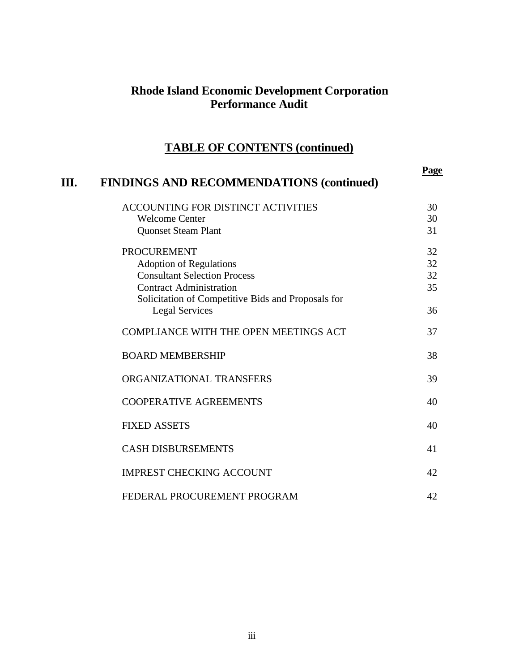## **Rhode Island Economic Development Corporation Performance Audit**

# **TABLE OF CONTENTS (continued)**

| Ш. | <b>FINDINGS AND RECOMMENDATIONS (continued)</b>    | <b>Page</b> |
|----|----------------------------------------------------|-------------|
|    | ACCOUNTING FOR DISTINCT ACTIVITIES                 | 30          |
|    | <b>Welcome Center</b>                              | 30          |
|    | <b>Quonset Steam Plant</b>                         | 31          |
|    | <b>PROCUREMENT</b>                                 | 32          |
|    | <b>Adoption of Regulations</b>                     | 32          |
|    | <b>Consultant Selection Process</b>                | 32          |
|    | <b>Contract Administration</b>                     | 35          |
|    | Solicitation of Competitive Bids and Proposals for |             |
|    | <b>Legal Services</b>                              | 36          |
|    | <b>COMPLIANCE WITH THE OPEN MEETINGS ACT</b>       | 37          |
|    | <b>BOARD MEMBERSHIP</b>                            | 38          |
|    | ORGANIZATIONAL TRANSFERS                           | 39          |
|    | <b>COOPERATIVE AGREEMENTS</b>                      | 40          |
|    | <b>FIXED ASSETS</b>                                | 40          |
|    | <b>CASH DISBURSEMENTS</b>                          | 41          |
|    | <b>IMPREST CHECKING ACCOUNT</b>                    | 42          |
|    | FEDERAL PROCUREMENT PROGRAM                        | 42          |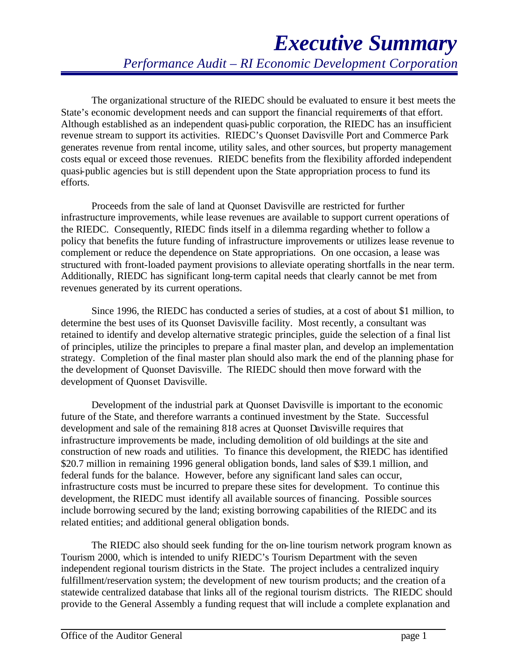# *Executive Summary Performance Audit – RI Economic Development Corporation*

The organizational structure of the RIEDC should be evaluated to ensure it best meets the State's economic development needs and can support the financial requirements of that effort. Although established as an independent quasi-public corporation, the RIEDC has an insufficient revenue stream to support its activities. RIEDC's Quonset Davisville Port and Commerce Park generates revenue from rental income, utility sales, and other sources, but property management costs equal or exceed those revenues. RIEDC benefits from the flexibility afforded independent quasi-public agencies but is still dependent upon the State appropriation process to fund its efforts.

Proceeds from the sale of land at Quonset Davisville are restricted for further infrastructure improvements, while lease revenues are available to support current operations of the RIEDC. Consequently, RIEDC finds itself in a dilemma regarding whether to follow a policy that benefits the future funding of infrastructure improvements or utilizes lease revenue to complement or reduce the dependence on State appropriations. On one occasion, a lease was structured with front-loaded payment provisions to alleviate operating shortfalls in the near term. Additionally, RIEDC has significant long-term capital needs that clearly cannot be met from revenues generated by its current operations.

Since 1996, the RIEDC has conducted a series of studies, at a cost of about \$1 million, to determine the best uses of its Quonset Davisville facility. Most recently, a consultant was retained to identify and develop alternative strategic principles, guide the selection of a final list of principles, utilize the principles to prepare a final master plan, and develop an implementation strategy. Completion of the final master plan should also mark the end of the planning phase for the development of Quonset Davisville. The RIEDC should then move forward with the development of Quonset Davisville.

Development of the industrial park at Quonset Davisville is important to the economic future of the State, and therefore warrants a continued investment by the State. Successful development and sale of the remaining 818 acres at Quonset Davisville requires that infrastructure improvements be made, including demolition of old buildings at the site and construction of new roads and utilities. To finance this development, the RIEDC has identified \$20.7 million in remaining 1996 general obligation bonds, land sales of \$39.1 million, and federal funds for the balance. However, before any significant land sales can occur, infrastructure costs must be incurred to prepare these sites for development. To continue this development, the RIEDC must identify all available sources of financing. Possible sources include borrowing secured by the land; existing borrowing capabilities of the RIEDC and its related entities; and additional general obligation bonds.

The RIEDC also should seek funding for the on-line tourism network program known as Tourism 2000, which is intended to unify RIEDC's Tourism Department with the seven independent regional tourism districts in the State. The project includes a centralized inquiry fulfillment/reservation system; the development of new tourism products; and the creation of a statewide centralized database that links all of the regional tourism districts. The RIEDC should provide to the General Assembly a funding request that will include a complete explanation and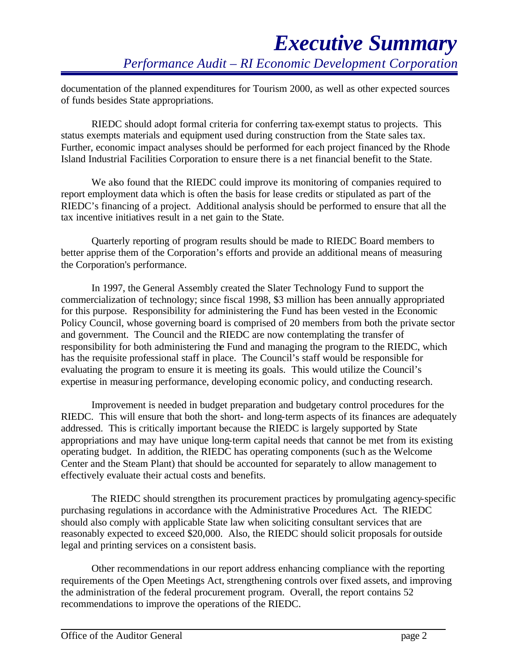documentation of the planned expenditures for Tourism 2000, as well as other expected sources of funds besides State appropriations.

RIEDC should adopt formal criteria for conferring tax-exempt status to projects. This status exempts materials and equipment used during construction from the State sales tax. Further, economic impact analyses should be performed for each project financed by the Rhode Island Industrial Facilities Corporation to ensure there is a net financial benefit to the State.

We also found that the RIEDC could improve its monitoring of companies required to report employment data which is often the basis for lease credits or stipulated as part of the RIEDC's financing of a project. Additional analysis should be performed to ensure that all the tax incentive initiatives result in a net gain to the State.

Quarterly reporting of program results should be made to RIEDC Board members to better apprise them of the Corporation's efforts and provide an additional means of measuring the Corporation's performance.

In 1997, the General Assembly created the Slater Technology Fund to support the commercialization of technology; since fiscal 1998, \$3 million has been annually appropriated for this purpose. Responsibility for administering the Fund has been vested in the Economic Policy Council, whose governing board is comprised of 20 members from both the private sector and government. The Council and the RIEDC are now contemplating the transfer of responsibility for both administering the Fund and managing the program to the RIEDC, which has the requisite professional staff in place. The Council's staff would be responsible for evaluating the program to ensure it is meeting its goals. This would utilize the Council's expertise in measuring performance, developing economic policy, and conducting research.

Improvement is needed in budget preparation and budgetary control procedures for the RIEDC. This will ensure that both the short- and long-term aspects of its finances are adequately addressed. This is critically important because the RIEDC is largely supported by State appropriations and may have unique long-term capital needs that cannot be met from its existing operating budget. In addition, the RIEDC has operating components (such as the Welcome Center and the Steam Plant) that should be accounted for separately to allow management to effectively evaluate their actual costs and benefits.

The RIEDC should strengthen its procurement practices by promulgating agency-specific purchasing regulations in accordance with the Administrative Procedures Act. The RIEDC should also comply with applicable State law when soliciting consultant services that are reasonably expected to exceed \$20,000. Also, the RIEDC should solicit proposals for outside legal and printing services on a consistent basis.

Other recommendations in our report address enhancing compliance with the reporting requirements of the Open Meetings Act, strengthening controls over fixed assets, and improving the administration of the federal procurement program. Overall, the report contains 52 recommendations to improve the operations of the RIEDC.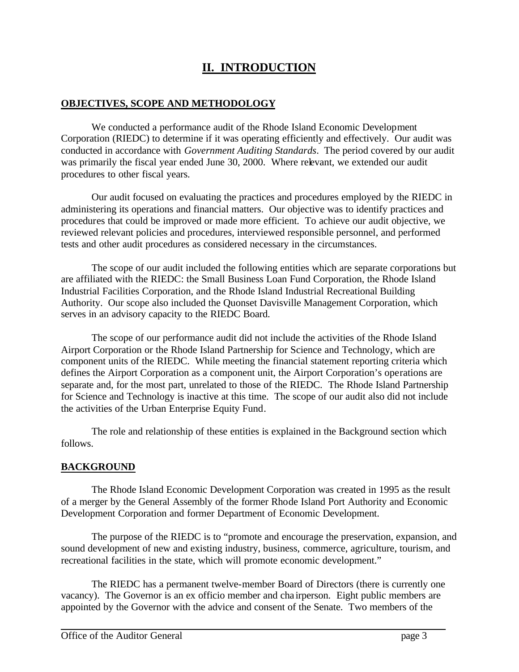# **II. INTRODUCTION**

### **OBJECTIVES, SCOPE AND METHODOLOGY**

We conducted a performance audit of the Rhode Island Economic Development Corporation (RIEDC) to determine if it was operating efficiently and effectively. Our audit was conducted in accordance with *Government Auditing Standards*. The period covered by our audit was primarily the fiscal year ended June 30, 2000. Where relevant, we extended our audit procedures to other fiscal years.

Our audit focused on evaluating the practices and procedures employed by the RIEDC in administering its operations and financial matters. Our objective was to identify practices and procedures that could be improved or made more efficient. To achieve our audit objective, we reviewed relevant policies and procedures, interviewed responsible personnel, and performed tests and other audit procedures as considered necessary in the circumstances.

The scope of our audit included the following entities which are separate corporations but are affiliated with the RIEDC: the Small Business Loan Fund Corporation, the Rhode Island Industrial Facilities Corporation, and the Rhode Island Industrial Recreational Building Authority. Our scope also included the Quonset Davisville Management Corporation, which serves in an advisory capacity to the RIEDC Board.

The scope of our performance audit did not include the activities of the Rhode Island Airport Corporation or the Rhode Island Partnership for Science and Technology, which are component units of the RIEDC. While meeting the financial statement reporting criteria which defines the Airport Corporation as a component unit, the Airport Corporation's operations are separate and, for the most part, unrelated to those of the RIEDC. The Rhode Island Partnership for Science and Technology is inactive at this time. The scope of our audit also did not include the activities of the Urban Enterprise Equity Fund.

The role and relationship of these entities is explained in the Background section which follows.

### **BACKGROUND**

The Rhode Island Economic Development Corporation was created in 1995 as the result of a merger by the General Assembly of the former Rhode Island Port Authority and Economic Development Corporation and former Department of Economic Development.

The purpose of the RIEDC is to "promote and encourage the preservation, expansion, and sound development of new and existing industry, business, commerce, agriculture, tourism, and recreational facilities in the state, which will promote economic development."

The RIEDC has a permanent twelve-member Board of Directors (there is currently one vacancy). The Governor is an ex officio member and cha irperson. Eight public members are appointed by the Governor with the advice and consent of the Senate. Two members of the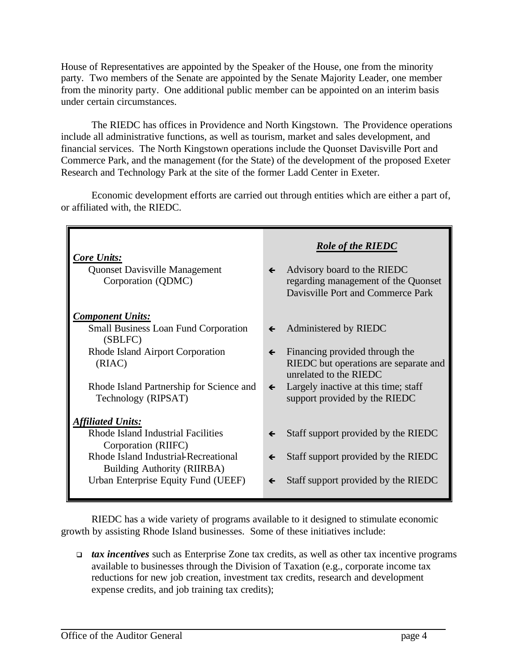House of Representatives are appointed by the Speaker of the House, one from the minority party. Two members of the Senate are appointed by the Senate Majority Leader, one member from the minority party. One additional public member can be appointed on an interim basis under certain circumstances.

The RIEDC has offices in Providence and North Kingstown. The Providence operations include all administrative functions, as well as tourism, market and sales development, and financial services. The North Kingstown operations include the Quonset Davisville Port and Commerce Park, and the management (for the State) of the development of the proposed Exeter Research and Technology Park at the site of the former Ladd Center in Exeter.

Economic development efforts are carried out through entities which are either a part of, or affiliated with, the RIEDC.

| <b>Core Units:</b><br><b>Quonset Davisville Management</b><br>Corporation (QDMC) | <b>Role of the RIEDC</b><br>Advisory board to the RIEDC<br>$\leftarrow$<br>regarding management of the Quonset<br>Davisville Port and Commerce Park |
|----------------------------------------------------------------------------------|-----------------------------------------------------------------------------------------------------------------------------------------------------|
| <b>Component Units:</b>                                                          |                                                                                                                                                     |
| <b>Small Business Loan Fund Corporation</b><br>(SBLFC)                           | Administered by RIEDC<br>$\leftarrow$                                                                                                               |
| Rhode Island Airport Corporation<br>(RIAC)                                       | Financing provided through the<br>$\leftarrow$<br>RIEDC but operations are separate and<br>unrelated to the RIEDC                                   |
| Rhode Island Partnership for Science and<br>Technology (RIPSAT)                  | Largely inactive at this time; staff<br>$\leftarrow$<br>support provided by the RIEDC                                                               |
| <b>Affiliated Units:</b>                                                         |                                                                                                                                                     |
| Rhode Island Industrial Facilities<br>Corporation (RIIFC)                        | Staff support provided by the RIEDC<br>$\leftarrow$                                                                                                 |
| Rhode Island Industrial-Recreational<br>Building Authority (RIIRBA)              | Staff support provided by the RIEDC<br>$\leftarrow$                                                                                                 |
| Urban Enterprise Equity Fund (UEEF)                                              | Staff support provided by the RIEDC<br>$\leftarrow$                                                                                                 |

RIEDC has a wide variety of programs available to it designed to stimulate economic growth by assisting Rhode Island businesses. Some of these initiatives include:

<sup>q</sup> *tax incentives* such as Enterprise Zone tax credits, as well as other tax incentive programs available to businesses through the Division of Taxation (e.g., corporate income tax reductions for new job creation, investment tax credits, research and development expense credits, and job training tax credits);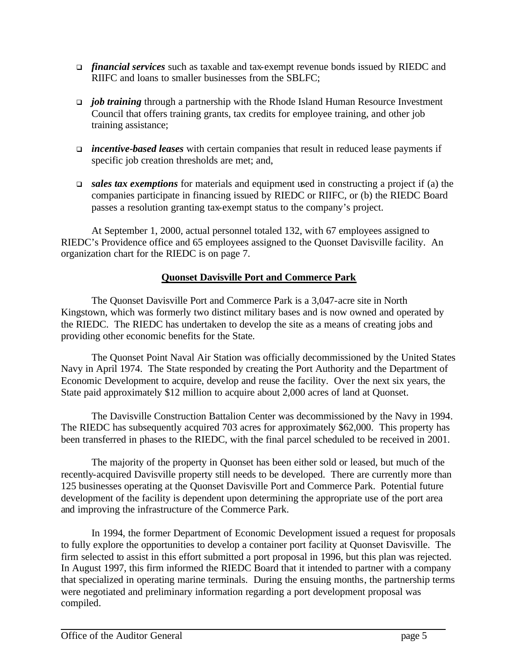- <sup>q</sup> *financial services* such as taxable and tax-exempt revenue bonds issued by RIEDC and RIIFC and loans to smaller businesses from the SBLFC;
- **p** *job training* through a partnership with the Rhode Island Human Resource Investment Council that offers training grants, tax credits for employee training, and other job training assistance;
- <sup>q</sup> *incentive-based leases* with certain companies that result in reduced lease payments if specific job creation thresholds are met; and,
- **□** *sales tax exemptions* for materials and equipment used in constructing a project if (a) the companies participate in financing issued by RIEDC or RIIFC, or (b) the RIEDC Board passes a resolution granting tax-exempt status to the company's project.

At September 1, 2000, actual personnel totaled 132, with 67 employees assigned to RIEDC's Providence office and 65 employees assigned to the Quonset Davisville facility. An organization chart for the RIEDC is on page 7.

### **Quonset Davisville Port and Commerce Park**

The Quonset Davisville Port and Commerce Park is a 3,047-acre site in North Kingstown, which was formerly two distinct military bases and is now owned and operated by the RIEDC. The RIEDC has undertaken to develop the site as a means of creating jobs and providing other economic benefits for the State.

The Quonset Point Naval Air Station was officially decommissioned by the United States Navy in April 1974. The State responded by creating the Port Authority and the Department of Economic Development to acquire, develop and reuse the facility. Over the next six years, the State paid approximately \$12 million to acquire about 2,000 acres of land at Quonset.

The Davisville Construction Battalion Center was decommissioned by the Navy in 1994. The RIEDC has subsequently acquired 703 acres for approximately \$62,000. This property has been transferred in phases to the RIEDC, with the final parcel scheduled to be received in 2001.

The majority of the property in Quonset has been either sold or leased, but much of the recently-acquired Davisville property still needs to be developed. There are currently more than 125 businesses operating at the Quonset Davisville Port and Commerce Park. Potential future development of the facility is dependent upon determining the appropriate use of the port area and improving the infrastructure of the Commerce Park.

In 1994, the former Department of Economic Development issued a request for proposals to fully explore the opportunities to develop a container port facility at Quonset Davisville. The firm selected to assist in this effort submitted a port proposal in 1996, but this plan was rejected. In August 1997, this firm informed the RIEDC Board that it intended to partner with a company that specialized in operating marine terminals. During the ensuing months, the partnership terms were negotiated and preliminary information regarding a port development proposal was compiled.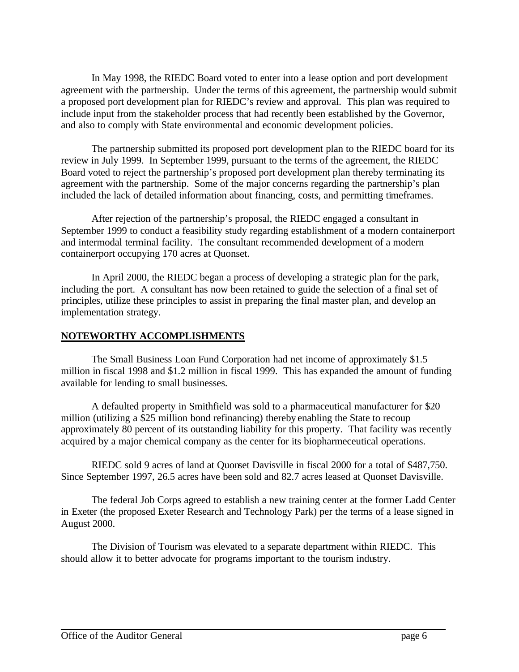In May 1998, the RIEDC Board voted to enter into a lease option and port development agreement with the partnership. Under the terms of this agreement, the partnership would submit a proposed port development plan for RIEDC's review and approval. This plan was required to include input from the stakeholder process that had recently been established by the Governor, and also to comply with State environmental and economic development policies.

The partnership submitted its proposed port development plan to the RIEDC board for its review in July 1999. In September 1999, pursuant to the terms of the agreement, the RIEDC Board voted to reject the partnership's proposed port development plan thereby terminating its agreement with the partnership. Some of the major concerns regarding the partnership's plan included the lack of detailed information about financing, costs, and permitting timeframes.

After rejection of the partnership's proposal, the RIEDC engaged a consultant in September 1999 to conduct a feasibility study regarding establishment of a modern containerport and intermodal terminal facility. The consultant recommended development of a modern containerport occupying 170 acres at Quonset.

In April 2000, the RIEDC began a process of developing a strategic plan for the park, including the port. A consultant has now been retained to guide the selection of a final set of principles, utilize these principles to assist in preparing the final master plan, and develop an implementation strategy.

### **NOTEWORTHY ACCOMPLISHMENTS**

The Small Business Loan Fund Corporation had net income of approximately \$1.5 million in fiscal 1998 and \$1.2 million in fiscal 1999. This has expanded the amount of funding available for lending to small businesses.

A defaulted property in Smithfield was sold to a pharmaceutical manufacturer for \$20 million (utilizing a \$25 million bond refinancing) thereby enabling the State to recoup approximately 80 percent of its outstanding liability for this property. That facility was recently acquired by a major chemical company as the center for its biopharmeceutical operations.

RIEDC sold 9 acres of land at Quonset Davisville in fiscal 2000 for a total of \$487,750. Since September 1997, 26.5 acres have been sold and 82.7 acres leased at Quonset Davisville.

The federal Job Corps agreed to establish a new training center at the former Ladd Center in Exeter (the proposed Exeter Research and Technology Park) per the terms of a lease signed in August 2000.

The Division of Tourism was elevated to a separate department within RIEDC. This should allow it to better advocate for programs important to the tourism industry.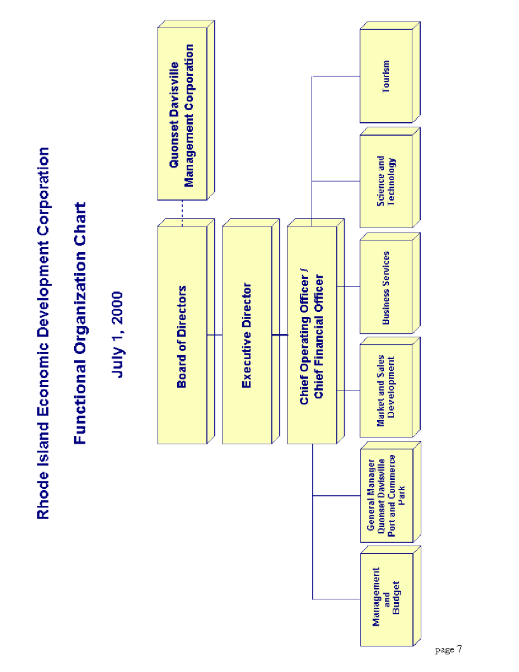Rhode Island Economic Development Corporation

# Functional Organization Chart

July 1, 2000

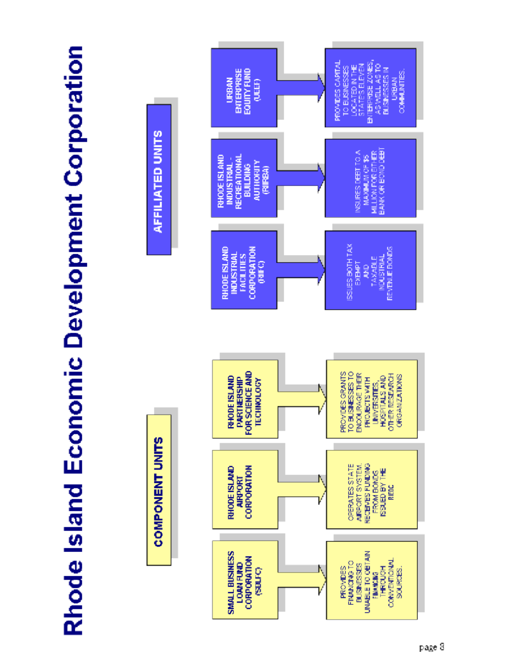

# Rhode Island Economic Development Corporation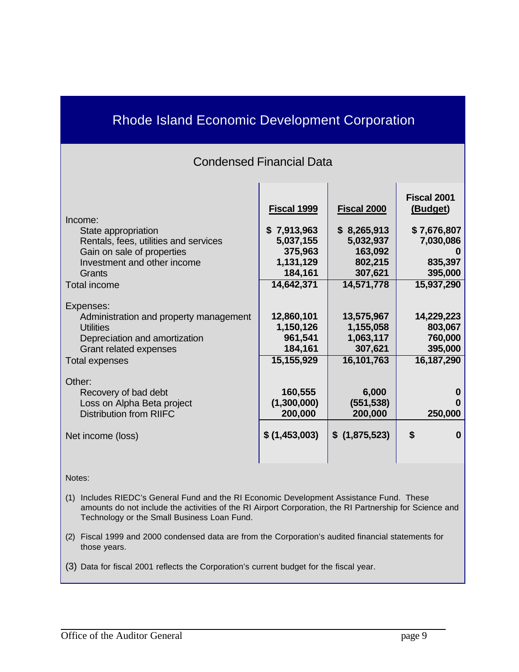# Rhode Island Economic Development Corporation

# Condensed Financial Data

| Income:<br>State appropriation<br>Rentals, fees, utilities and services<br>Gain on sale of properties<br>Investment and other income<br>Grants       | Fiscal 1999<br>\$7,913,963<br>5,037,155<br>375,963<br>1,131,129<br>184,161 | Fiscal 2000<br>\$8,265,913<br>5,032,937<br>163,092<br>802,215<br>307,621 | Fiscal 2001<br>(Budget)<br>\$7,676,807<br>7,030,086<br>835,397<br>395,000 |
|------------------------------------------------------------------------------------------------------------------------------------------------------|----------------------------------------------------------------------------|--------------------------------------------------------------------------|---------------------------------------------------------------------------|
| <b>Total income</b>                                                                                                                                  | 14,642,371                                                                 | 14,571,778                                                               | 15,937,290                                                                |
| Expenses:<br>Administration and property management<br><b>Utilities</b><br>Depreciation and amortization<br>Grant related expenses<br>Total expenses | 12,860,101<br>1,150,126<br>961,541<br>184,161<br>15,155,929                | 13,575,967<br>1,155,058<br>1,063,117<br>307,621<br>16,101,763            | 14,229,223<br>803,067<br>760,000<br>395,000<br>16, 187, 290               |
| Other:<br>Recovery of bad debt<br>Loss on Alpha Beta project<br><b>Distribution from RIIFC</b>                                                       | 160,555<br>(1,300,000)<br>200,000                                          | 6,000<br>(551, 538)<br>200,000                                           | 250,000                                                                   |
| Net income (loss)                                                                                                                                    | \$(1,453,003)                                                              | \$(1,875,523)                                                            | \$<br>0                                                                   |

Notes:

- (1) Includes RIEDC's General Fund and the RI Economic Development Assistance Fund. These amounts do not include the activities of the RI Airport Corporation, the RI Partnership for Science and Technology or the Small Business Loan Fund.
- (2) Fiscal 1999 and 2000 condensed data are from the Corporation's audited financial statements for those years.
- (3) Data for fiscal 2001 reflects the Corporation's current budget for the fiscal year.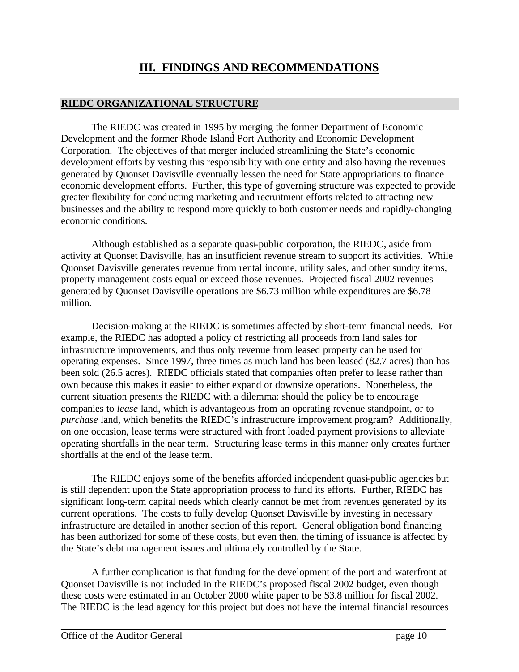# **III. FINDINGS AND RECOMMENDATIONS**

### **RIEDC ORGANIZATIONAL STRUCTURE**

The RIEDC was created in 1995 by merging the former Department of Economic Development and the former Rhode Island Port Authority and Economic Development Corporation. The objectives of that merger included streamlining the State's economic development efforts by vesting this responsibility with one entity and also having the revenues generated by Quonset Davisville eventually lessen the need for State appropriations to finance economic development efforts. Further, this type of governing structure was expected to provide greater flexibility for conducting marketing and recruitment efforts related to attracting new businesses and the ability to respond more quickly to both customer needs and rapidly-changing economic conditions.

Although established as a separate quasi-public corporation, the RIEDC, aside from activity at Quonset Davisville, has an insufficient revenue stream to support its activities. While Quonset Davisville generates revenue from rental income, utility sales, and other sundry items, property management costs equal or exceed those revenues. Projected fiscal 2002 revenues generated by Quonset Davisville operations are \$6.73 million while expenditures are \$6.78 million.

Decision-making at the RIEDC is sometimes affected by short-term financial needs. For example, the RIEDC has adopted a policy of restricting all proceeds from land sales for infrastructure improvements, and thus only revenue from leased property can be used for operating expenses. Since 1997, three times as much land has been leased (82.7 acres) than has been sold (26.5 acres). RIEDC officials stated that companies often prefer to lease rather than own because this makes it easier to either expand or downsize operations. Nonetheless, the current situation presents the RIEDC with a dilemma: should the policy be to encourage companies to *lease* land, which is advantageous from an operating revenue standpoint, or to *purchase* land, which benefits the RIEDC's infrastructure improvement program? Additionally, on one occasion, lease terms were structured with front loaded payment provisions to alleviate operating shortfalls in the near term. Structuring lease terms in this manner only creates further shortfalls at the end of the lease term.

The RIEDC enjoys some of the benefits afforded independent quasi-public agencies but is still dependent upon the State appropriation process to fund its efforts. Further, RIEDC has significant long-term capital needs which clearly cannot be met from revenues generated by its current operations. The costs to fully develop Quonset Davisville by investing in necessary infrastructure are detailed in another section of this report. General obligation bond financing has been authorized for some of these costs, but even then, the timing of issuance is affected by the State's debt management issues and ultimately controlled by the State.

A further complication is that funding for the development of the port and waterfront at Quonset Davisville is not included in the RIEDC's proposed fiscal 2002 budget, even though these costs were estimated in an October 2000 white paper to be \$3.8 million for fiscal 2002. The RIEDC is the lead agency for this project but does not have the internal financial resources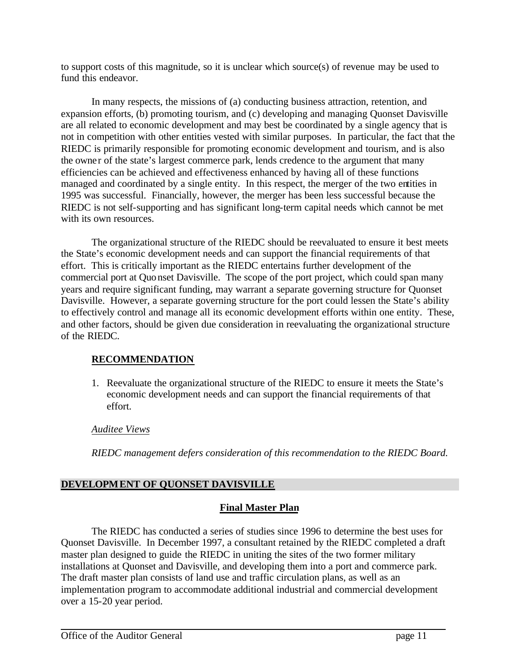to support costs of this magnitude, so it is unclear which source(s) of revenue may be used to fund this endeavor.

In many respects, the missions of (a) conducting business attraction, retention, and expansion efforts, (b) promoting tourism, and (c) developing and managing Quonset Davisville are all related to economic development and may best be coordinated by a single agency that is not in competition with other entities vested with similar purposes. In particular, the fact that the RIEDC is primarily responsible for promoting economic development and tourism, and is also the owner of the state's largest commerce park, lends credence to the argument that many efficiencies can be achieved and effectiveness enhanced by having all of these functions managed and coordinated by a single entity. In this respect, the merger of the two entities in 1995 was successful. Financially, however, the merger has been less successful because the RIEDC is not self-supporting and has significant long-term capital needs which cannot be met with its own resources.

The organizational structure of the RIEDC should be reevaluated to ensure it best meets the State's economic development needs and can support the financial requirements of that effort. This is critically important as the RIEDC entertains further development of the commercial port at Quonset Davisville. The scope of the port project, which could span many years and require significant funding, may warrant a separate governing structure for Quonset Davisville. However, a separate governing structure for the port could lessen the State's ability to effectively control and manage all its economic development efforts within one entity. These, and other factors, should be given due consideration in reevaluating the organizational structure of the RIEDC.

### **RECOMMENDATION**

1. Reevaluate the organizational structure of the RIEDC to ensure it meets the State's economic development needs and can support the financial requirements of that effort.

### *Auditee Views*

*RIEDC management defers consideration of this recommendation to the RIEDC Board.*

### **DEVELOPMENT OF QUONSET DAVISVILLE**

### **Final Master Plan**

The RIEDC has conducted a series of studies since 1996 to determine the best uses for Quonset Davisville. In December 1997, a consultant retained by the RIEDC completed a draft master plan designed to guide the RIEDC in uniting the sites of the two former military installations at Quonset and Davisville, and developing them into a port and commerce park. The draft master plan consists of land use and traffic circulation plans, as well as an implementation program to accommodate additional industrial and commercial development over a 15-20 year period.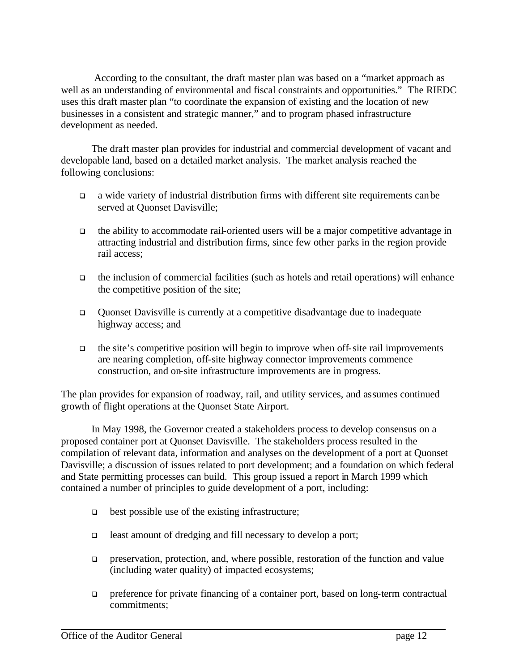According to the consultant, the draft master plan was based on a "market approach as well as an understanding of environmental and fiscal constraints and opportunities." The RIEDC uses this draft master plan "to coordinate the expansion of existing and the location of new businesses in a consistent and strategic manner," and to program phased infrastructure development as needed.

The draft master plan provides for industrial and commercial development of vacant and developable land, based on a detailed market analysis. The market analysis reached the following conclusions:

- <sup>q</sup> a wide variety of industrial distribution firms with different site requirements can be served at Quonset Davisville;
- $\Box$  the ability to accommodate rail-oriented users will be a major competitive advantage in attracting industrial and distribution firms, since few other parks in the region provide rail access;
- $\Box$  the inclusion of commercial facilities (such as hotels and retail operations) will enhance the competitive position of the site;
- <sup>q</sup> Quonset Davisville is currently at a competitive disadvantage due to inadequate highway access; and
- $\Box$  the site's competitive position will begin to improve when off-site rail improvements are nearing completion, off-site highway connector improvements commence construction, and on-site infrastructure improvements are in progress.

The plan provides for expansion of roadway, rail, and utility services, and assumes continued growth of flight operations at the Quonset State Airport.

In May 1998, the Governor created a stakeholders process to develop consensus on a proposed container port at Quonset Davisville. The stakeholders process resulted in the compilation of relevant data, information and analyses on the development of a port at Quonset Davisville; a discussion of issues related to port development; and a foundation on which federal and State permitting processes can build. This group issued a report in March 1999 which contained a number of principles to guide development of a port, including:

- $\Box$  best possible use of the existing infrastructure;
- <sup>q</sup> least amount of dredging and fill necessary to develop a port;
- $\Box$  preservation, protection, and, where possible, restoration of the function and value (including water quality) of impacted ecosystems;
- $\Box$  preference for private financing of a container port, based on long-term contractual commitments;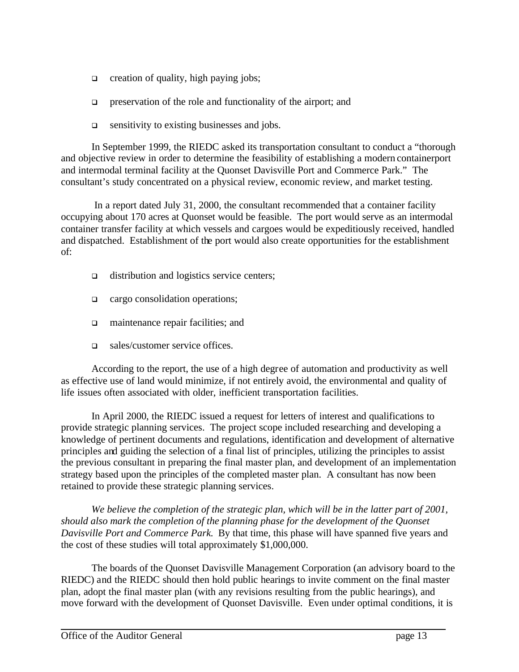- $\Box$  creation of quality, high paying jobs;
- $\Box$  preservation of the role and functionality of the airport; and
- $\Box$  sensitivity to existing businesses and jobs.

In September 1999, the RIEDC asked its transportation consultant to conduct a "thorough and objective review in order to determine the feasibility of establishing a modern containerport and intermodal terminal facility at the Quonset Davisville Port and Commerce Park." The consultant's study concentrated on a physical review, economic review, and market testing.

 In a report dated July 31, 2000, the consultant recommended that a container facility occupying about 170 acres at Quonset would be feasible. The port would serve as an intermodal container transfer facility at which vessels and cargoes would be expeditiously received, handled and dispatched. Establishment of the port would also create opportunities for the establishment of:

- $\Box$  distribution and logistics service centers;
- q cargo consolidation operations;
- $\Box$  maintenance repair facilities; and
- $\Box$  sales/customer service offices.

According to the report, the use of a high degree of automation and productivity as well as effective use of land would minimize, if not entirely avoid, the environmental and quality of life issues often associated with older, inefficient transportation facilities.

In April 2000, the RIEDC issued a request for letters of interest and qualifications to provide strategic planning services. The project scope included researching and developing a knowledge of pertinent documents and regulations, identification and development of alternative principles and guiding the selection of a final list of principles, utilizing the principles to assist the previous consultant in preparing the final master plan, and development of an implementation strategy based upon the principles of the completed master plan. A consultant has now been retained to provide these strategic planning services.

*We believe the completion of the strategic plan, which will be in the latter part of 2001, should also mark the completion of the planning phase for the development of the Quonset Davisville Port and Commerce Park.* By that time, this phase will have spanned five years and the cost of these studies will total approximately \$1,000,000.

The boards of the Quonset Davisville Management Corporation (an advisory board to the RIEDC) and the RIEDC should then hold public hearings to invite comment on the final master plan, adopt the final master plan (with any revisions resulting from the public hearings), and move forward with the development of Quonset Davisville. Even under optimal conditions, it is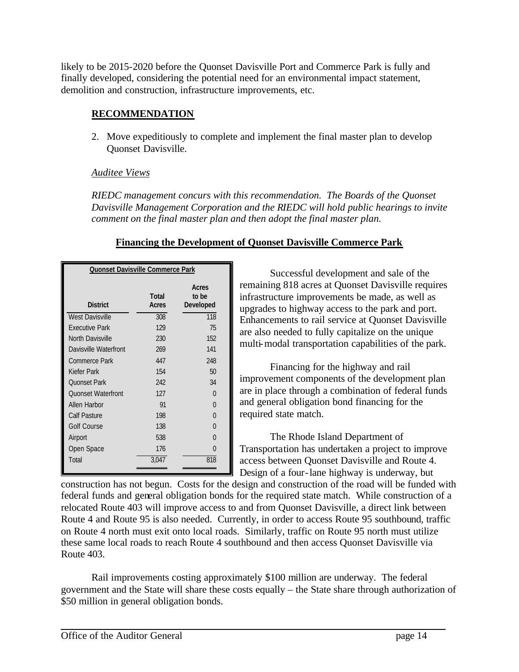likely to be 2015-2020 before the Quonset Davisville Port and Commerce Park is fully and finally developed, considering the potential need for an environmental impact statement, demolition and construction, infrastructure improvements, etc.

### **RECOMMENDATION**

2. Move expeditiously to complete and implement the final master plan to develop Quonset Davisville.

### *Auditee Views*

*RIEDC management concurs with this recommendation. The Boards of the Quonset Davisville Management Corporation and the RIEDC will hold public hearings to invite comment on the final master plan and then adopt the final master plan.* 

### **Financing the Development of Quonset Davisville Commerce Park**

| <b>Quonset Davisville Commerce Park</b>                                        |       |          |  |
|--------------------------------------------------------------------------------|-------|----------|--|
| Acres<br>to be<br><b>Total</b><br><b>Developed</b><br><b>District</b><br>Acres |       |          |  |
| <b>West Davisville</b>                                                         | 308   | 118      |  |
| <b>Fxecutive Park</b>                                                          | 129   | 75       |  |
| North Davisville                                                               | 230   | 152      |  |
| Davisville Waterfront                                                          | 269   | 141      |  |
| Commerce Park                                                                  | 447   | 248      |  |
| Kiefer Park                                                                    | 154   | 50       |  |
| <b>Ouonset Park</b>                                                            | 242   | 34       |  |
| <b>Quonset Waterfront</b>                                                      | 127   | 0        |  |
| Allen Harbor                                                                   | 91    | 0        |  |
| Calf Pasture                                                                   | 198   | $\Omega$ |  |
| Golf Course                                                                    | 138   | $\Omega$ |  |
| Airport                                                                        | 538   | 0        |  |
| Open Space                                                                     | 176   | $\cap$   |  |
| Total                                                                          | 3.047 | 818      |  |

Successful development and sale of the remaining 818 acres at Quonset Davisville requires infrastructure improvements be made, as well as upgrades to highway access to the park and port. Enhancements to rail service at Quonset Davisville are also needed to fully capitalize on the unique multi-modal transportation capabilities of the park.

Financing for the highway and rail improvement components of the development plan are in place through a combination of federal funds and general obligation bond financing for the required state match.

The Rhode Island Department of Transportation has undertaken a project to improve access between Quonset Davisville and Route 4. Design of a four-lane highway is underway, but

construction has not begun. Costs for the design and construction of the road will be funded with federal funds and general obligation bonds for the required state match. While construction of a relocated Route 403 will improve access to and from Quonset Davisville, a direct link between Route 4 and Route 95 is also needed. Currently, in order to access Route 95 southbound, traffic on Route 4 north must exit onto local roads. Similarly, traffic on Route 95 north must utilize these same local roads to reach Route 4 southbound and then access Quonset Davisville via Route 403.

Rail improvements costing approximately \$100 million are underway. The federal government and the State will share these costs equally – the State share through authorization of \$50 million in general obligation bonds.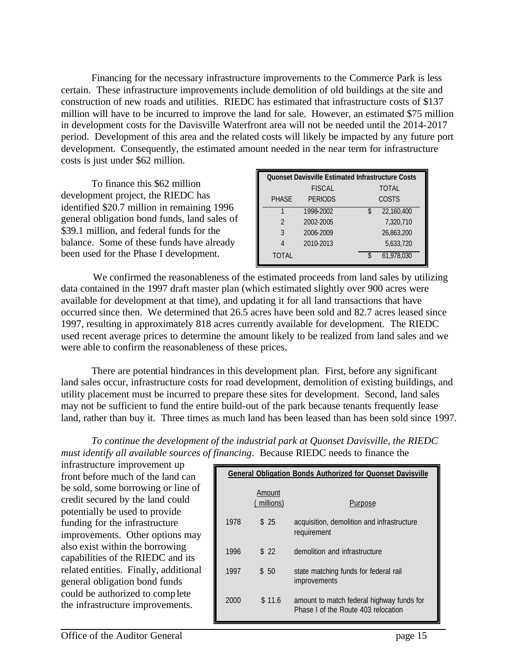Financing for the necessary infrastructure improvements to the Commerce Park is less certain. These infrastructure improvements include demolition of old buildings at the site and construction of new roads and utilities. RIEDC has estimated that infrastructure costs of \$137 million will have to be incurred to improve the land for sale. However, an estimated \$75 million in development costs for the Davisville Waterfront area will not be needed until the 2014-2017 period. Development of this area and the related costs will likely be impacted by any future port development. Consequently, the estimated amount needed in the near term for infrastructure costs is just under \$62 million.

To finance this \$62 million development project, the RIEDC has identified \$20.7 million in remaining 1996 general obligation bond funds, land sales of \$39.1 million, and federal funds for the balance. Some of these funds have already been used for the Phase I development.

| <b>Quonset Davisville Estimated Infrastructure Costs</b> |                |                  |  |
|----------------------------------------------------------|----------------|------------------|--|
|                                                          | <b>FISCAL</b>  | <b>TOTAL</b>     |  |
| <b>PHASE</b>                                             | <b>PERIODS</b> | COSTS            |  |
|                                                          | 1998-2002      | 22,160,400<br>\$ |  |
| $\overline{2}$                                           | 2002-2005      | 7.320.710        |  |
| 3                                                        | 2006-2009      | 26,863,200       |  |
| 4                                                        | 2010-2013      | 5,633,720        |  |
| <b>TOTAL</b>                                             |                | 61,978,030       |  |

 We confirmed the reasonableness of the estimated proceeds from land sales by utilizing data contained in the 1997 draft master plan (which estimated slightly over 900 acres were available for development at that time), and updating it for all land transactions that have occurred since then. We determined that 26.5 acres have been sold and 82.7 acres leased since 1997, resulting in approximately 818 acres currently available for development. The RIEDC used recent average prices to determine the amount likely to be realized from land sales and we were able to confirm the reasonableness of these prices.

There are potential hindrances in this development plan. First, before any significant land sales occur, infrastructure costs for road development, demolition of existing buildings, and utility placement must be incurred to prepare these sites for development. Second, land sales may not be sufficient to fund the entire build-out of the park because tenants frequently lease land, rather than buy it. Three times as much land has been leased than has been sold since 1997.

*To continue the development of the industrial park at Quonset Davisville, the RIEDC must identify all available sources of financing*. Because RIEDC needs to finance the

infrastructure improvement up front before much of the land can be sold, some borrowing or line of credit secured by the land could potentially be used to provide funding for the infrastructure improvements. Other options may also exist within the borrowing capabilities of the RIEDC and its related entities. Finally, additional general obligation bond funds could be authorized to complete the infrastructure improvements.

| <b>General Obligation Bonds Authorized for Quonset Davisville</b> |                      |                                                                                 |  |
|-------------------------------------------------------------------|----------------------|---------------------------------------------------------------------------------|--|
|                                                                   | Amount<br>(millions) | Purpose                                                                         |  |
| 1978                                                              | \$25                 | acquisition, demolition and infrastructure<br>requirement                       |  |
| 1996                                                              | \$22                 | demolition and infrastructure                                                   |  |
| 1997                                                              | \$50                 | state matching funds for federal rail<br>improvements                           |  |
| 2000                                                              | \$11.6               | amount to match federal highway funds for<br>Phase Lof the Route 403 relocation |  |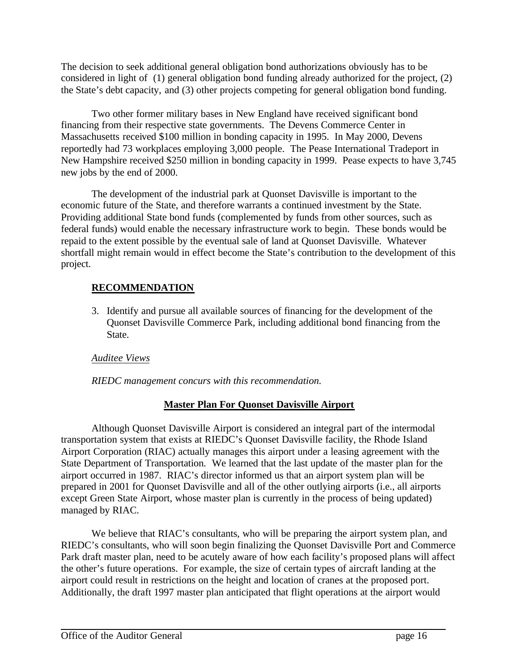The decision to seek additional general obligation bond authorizations obviously has to be considered in light of (1) general obligation bond funding already authorized for the project, (2) the State's debt capacity, and (3) other projects competing for general obligation bond funding.

Two other former military bases in New England have received significant bond financing from their respective state governments. The Devens Commerce Center in Massachusetts received \$100 million in bonding capacity in 1995. In May 2000, Devens reportedly had 73 workplaces employing 3,000 people. The Pease International Tradeport in New Hampshire received \$250 million in bonding capacity in 1999. Pease expects to have 3,745 new jobs by the end of 2000.

The development of the industrial park at Quonset Davisville is important to the economic future of the State, and therefore warrants a continued investment by the State. Providing additional State bond funds (complemented by funds from other sources, such as federal funds) would enable the necessary infrastructure work to begin. These bonds would be repaid to the extent possible by the eventual sale of land at Quonset Davisville. Whatever shortfall might remain would in effect become the State's contribution to the development of this project.

### **RECOMMENDATION**

3. Identify and pursue all available sources of financing for the development of the Quonset Davisville Commerce Park, including additional bond financing from the State.

### *Auditee Views*

*RIEDC management concurs with this recommendation.*

### **Master Plan For Quonset Davisville Airport**

Although Quonset Davisville Airport is considered an integral part of the intermodal transportation system that exists at RIEDC's Quonset Davisville facility, the Rhode Island Airport Corporation (RIAC) actually manages this airport under a leasing agreement with the State Department of Transportation. We learned that the last update of the master plan for the airport occurred in 1987. RIAC's director informed us that an airport system plan will be prepared in 2001 for Quonset Davisville and all of the other outlying airports (i.e., all airports except Green State Airport, whose master plan is currently in the process of being updated) managed by RIAC.

We believe that RIAC's consultants, who will be preparing the airport system plan, and RIEDC's consultants, who will soon begin finalizing the Quonset Davisville Port and Commerce Park draft master plan, need to be acutely aware of how each facility's proposed plans will affect the other's future operations. For example, the size of certain types of aircraft landing at the airport could result in restrictions on the height and location of cranes at the proposed port. Additionally, the draft 1997 master plan anticipated that flight operations at the airport would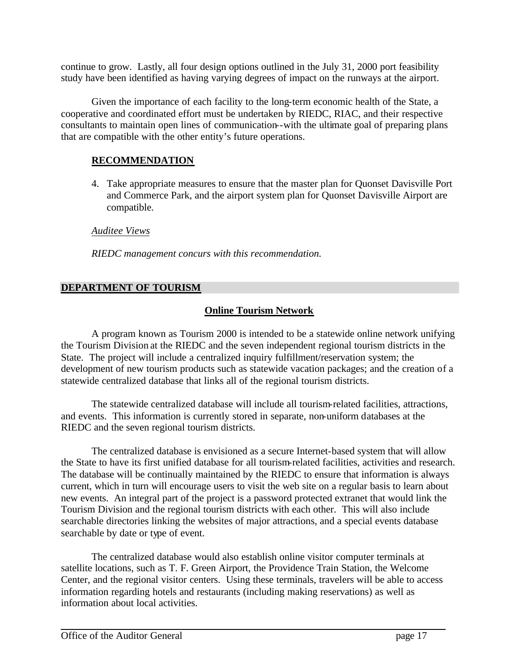continue to grow. Lastly, all four design options outlined in the July 31, 2000 port feasibility study have been identified as having varying degrees of impact on the runways at the airport.

Given the importance of each facility to the long-term economic health of the State, a cooperative and coordinated effort must be undertaken by RIEDC, RIAC, and their respective consultants to maintain open lines of communication--with the ultimate goal of preparing plans that are compatible with the other entity's future operations.

### **RECOMMENDATION**

4. Take appropriate measures to ensure that the master plan for Quonset Davisville Port and Commerce Park, and the airport system plan for Quonset Davisville Airport are compatible.

*Auditee Views*

*RIEDC management concurs with this recommendation.*

### **DEPARTMENT OF TOURISM**

### **Online Tourism Network**

A program known as Tourism 2000 is intended to be a statewide online network unifying the Tourism Division at the RIEDC and the seven independent regional tourism districts in the State. The project will include a centralized inquiry fulfillment/reservation system; the development of new tourism products such as statewide vacation packages; and the creation of a statewide centralized database that links all of the regional tourism districts.

The statewide centralized database will include all tourism-related facilities, attractions, and events. This information is currently stored in separate, non-uniform databases at the RIEDC and the seven regional tourism districts.

The centralized database is envisioned as a secure Internet-based system that will allow the State to have its first unified database for all tourism-related facilities, activities and research. The database will be continually maintained by the RIEDC to ensure that information is always current, which in turn will encourage users to visit the web site on a regular basis to learn about new events. An integral part of the project is a password protected extranet that would link the Tourism Division and the regional tourism districts with each other. This will also include searchable directories linking the websites of major attractions, and a special events database searchable by date or type of event.

The centralized database would also establish online visitor computer terminals at satellite locations, such as T. F. Green Airport, the Providence Train Station, the Welcome Center, and the regional visitor centers. Using these terminals, travelers will be able to access information regarding hotels and restaurants (including making reservations) as well as information about local activities.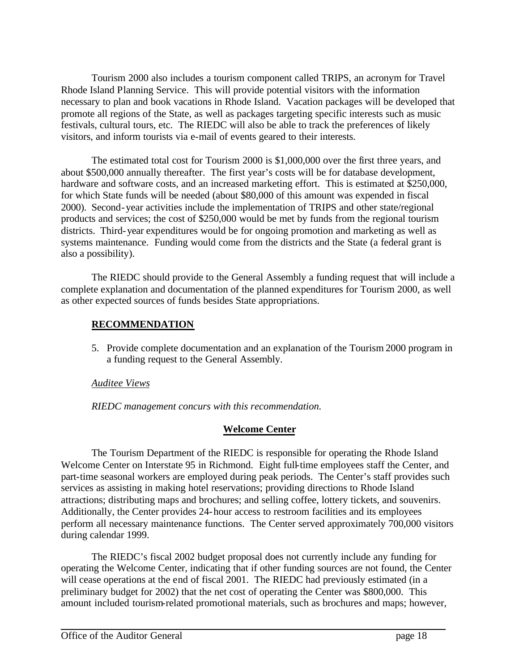Tourism 2000 also includes a tourism component called TRIPS, an acronym for Travel Rhode Island Planning Service. This will provide potential visitors with the information necessary to plan and book vacations in Rhode Island. Vacation packages will be developed that promote all regions of the State, as well as packages targeting specific interests such as music festivals, cultural tours, etc. The RIEDC will also be able to track the preferences of likely visitors, and inform tourists via e-mail of events geared to their interests.

The estimated total cost for Tourism 2000 is \$1,000,000 over the first three years, and about \$500,000 annually thereafter. The first year's costs will be for database development, hardware and software costs, and an increased marketing effort. This is estimated at \$250,000, for which State funds will be needed (about \$80,000 of this amount was expended in fiscal 2000). Second-year activities include the implementation of TRIPS and other state/regional products and services; the cost of \$250,000 would be met by funds from the regional tourism districts. Third-year expenditures would be for ongoing promotion and marketing as well as systems maintenance. Funding would come from the districts and the State (a federal grant is also a possibility).

The RIEDC should provide to the General Assembly a funding request that will include a complete explanation and documentation of the planned expenditures for Tourism 2000, as well as other expected sources of funds besides State appropriations.

### **RECOMMENDATION**

5. Provide complete documentation and an explanation of the Tourism 2000 program in a funding request to the General Assembly.

### *Auditee Views*

*RIEDC management concurs with this recommendation.*

### **Welcome Center**

The Tourism Department of the RIEDC is responsible for operating the Rhode Island Welcome Center on Interstate 95 in Richmond. Eight full-time employees staff the Center, and part-time seasonal workers are employed during peak periods. The Center's staff provides such services as assisting in making hotel reservations; providing directions to Rhode Island attractions; distributing maps and brochures; and selling coffee, lottery tickets, and souvenirs. Additionally, the Center provides 24-hour access to restroom facilities and its employees perform all necessary maintenance functions. The Center served approximately 700,000 visitors during calendar 1999.

The RIEDC's fiscal 2002 budget proposal does not currently include any funding for operating the Welcome Center, indicating that if other funding sources are not found, the Center will cease operations at the end of fiscal 2001. The RIEDC had previously estimated (in a preliminary budget for 2002) that the net cost of operating the Center was \$800,000. This amount included tourism-related promotional materials, such as brochures and maps; however,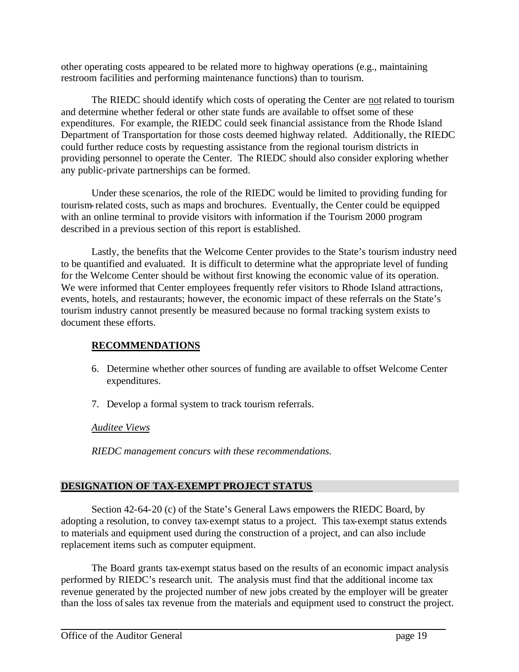other operating costs appeared to be related more to highway operations (e.g., maintaining restroom facilities and performing maintenance functions) than to tourism.

The RIEDC should identify which costs of operating the Center are not related to tourism and determine whether federal or other state funds are available to offset some of these expenditures. For example, the RIEDC could seek financial assistance from the Rhode Island Department of Transportation for those costs deemed highway related. Additionally, the RIEDC could further reduce costs by requesting assistance from the regional tourism districts in providing personnel to operate the Center. The RIEDC should also consider exploring whether any public-private partnerships can be formed.

Under these scenarios, the role of the RIEDC would be limited to providing funding for tourism-related costs, such as maps and brochures. Eventually, the Center could be equipped with an online terminal to provide visitors with information if the Tourism 2000 program described in a previous section of this report is established.

Lastly, the benefits that the Welcome Center provides to the State's tourism industry need to be quantified and evaluated. It is difficult to determine what the appropriate level of funding for the Welcome Center should be without first knowing the economic value of its operation. We were informed that Center employees frequently refer visitors to Rhode Island attractions, events, hotels, and restaurants; however, the economic impact of these referrals on the State's tourism industry cannot presently be measured because no formal tracking system exists to document these efforts.

### **RECOMMENDATIONS**

- 6. Determine whether other sources of funding are available to offset Welcome Center expenditures.
- 7. Develop a formal system to track tourism referrals.

### *Auditee Views*

*RIEDC management concurs with these recommendations.*

### **DESIGNATION OF TAX-EXEMPT PROJECT STATUS**

Section 42-64-20 (c) of the State's General Laws empowers the RIEDC Board, by adopting a resolution, to convey tax-exempt status to a project. This tax-exempt status extends to materials and equipment used during the construction of a project, and can also include replacement items such as computer equipment.

The Board grants tax-exempt status based on the results of an economic impact analysis performed by RIEDC's research unit. The analysis must find that the additional income tax revenue generated by the projected number of new jobs created by the employer will be greater than the loss of sales tax revenue from the materials and equipment used to construct the project.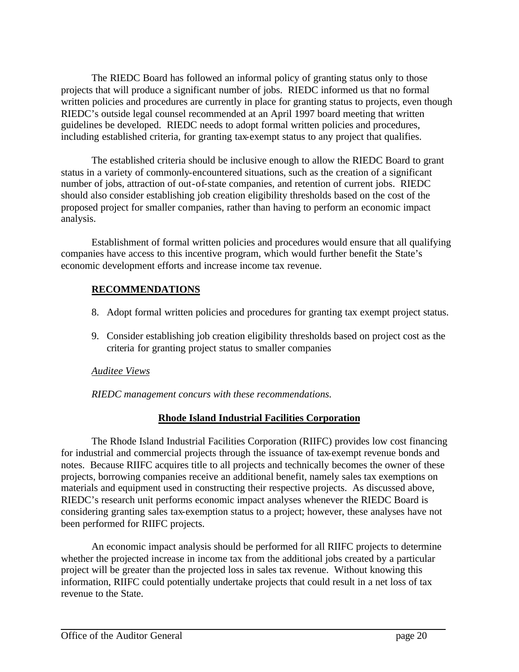The RIEDC Board has followed an informal policy of granting status only to those projects that will produce a significant number of jobs. RIEDC informed us that no formal written policies and procedures are currently in place for granting status to projects, even though RIEDC's outside legal counsel recommended at an April 1997 board meeting that written guidelines be developed. RIEDC needs to adopt formal written policies and procedures, including established criteria, for granting tax-exempt status to any project that qualifies.

The established criteria should be inclusive enough to allow the RIEDC Board to grant status in a variety of commonly-encountered situations, such as the creation of a significant number of jobs, attraction of out-of-state companies, and retention of current jobs. RIEDC should also consider establishing job creation eligibility thresholds based on the cost of the proposed project for smaller companies, rather than having to perform an economic impact analysis.

Establishment of formal written policies and procedures would ensure that all qualifying companies have access to this incentive program, which would further benefit the State's economic development efforts and increase income tax revenue.

### **RECOMMENDATIONS**

- 8. Adopt formal written policies and procedures for granting tax exempt project status.
- 9. Consider establishing job creation eligibility thresholds based on project cost as the criteria for granting project status to smaller companies

### *Auditee Views*

*RIEDC management concurs with these recommendations.*

### **Rhode Island Industrial Facilities Corporation**

The Rhode Island Industrial Facilities Corporation (RIIFC) provides low cost financing for industrial and commercial projects through the issuance of tax-exempt revenue bonds and notes. Because RIIFC acquires title to all projects and technically becomes the owner of these projects, borrowing companies receive an additional benefit, namely sales tax exemptions on materials and equipment used in constructing their respective projects. As discussed above, RIEDC's research unit performs economic impact analyses whenever the RIEDC Board is considering granting sales tax-exemption status to a project; however, these analyses have not been performed for RIIFC projects.

An economic impact analysis should be performed for all RIIFC projects to determine whether the projected increase in income tax from the additional jobs created by a particular project will be greater than the projected loss in sales tax revenue. Without knowing this information, RIIFC could potentially undertake projects that could result in a net loss of tax revenue to the State.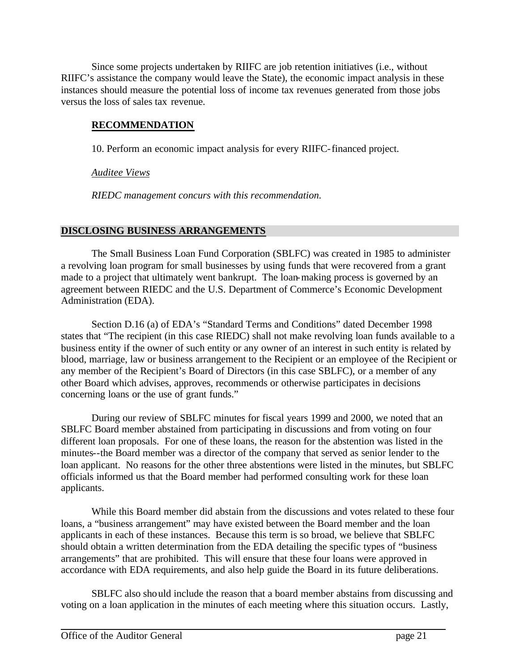Since some projects undertaken by RIIFC are job retention initiatives (i.e., without RIIFC's assistance the company would leave the State), the economic impact analysis in these instances should measure the potential loss of income tax revenues generated from those jobs versus the loss of sales tax revenue.

### **RECOMMENDATION**

10. Perform an economic impact analysis for every RIIFC-financed project.

*Auditee Views*

*RIEDC management concurs with this recommendation.*

### **DISCLOSING BUSINESS ARRANGEMENTS**

The Small Business Loan Fund Corporation (SBLFC) was created in 1985 to administer a revolving loan program for small businesses by using funds that were recovered from a grant made to a project that ultimately went bankrupt. The loan-making process is governed by an agreement between RIEDC and the U.S. Department of Commerce's Economic Development Administration (EDA).

Section D.16 (a) of EDA's "Standard Terms and Conditions" dated December 1998 states that "The recipient (in this case RIEDC) shall not make revolving loan funds available to a business entity if the owner of such entity or any owner of an interest in such entity is related by blood, marriage, law or business arrangement to the Recipient or an employee of the Recipient or any member of the Recipient's Board of Directors (in this case SBLFC), or a member of any other Board which advises, approves, recommends or otherwise participates in decisions concerning loans or the use of grant funds."

During our review of SBLFC minutes for fiscal years 1999 and 2000, we noted that an SBLFC Board member abstained from participating in discussions and from voting on four different loan proposals. For one of these loans, the reason for the abstention was listed in the minutes--the Board member was a director of the company that served as senior lender to the loan applicant. No reasons for the other three abstentions were listed in the minutes, but SBLFC officials informed us that the Board member had performed consulting work for these loan applicants.

While this Board member did abstain from the discussions and votes related to these four loans, a "business arrangement" may have existed between the Board member and the loan applicants in each of these instances. Because this term is so broad, we believe that SBLFC should obtain a written determination from the EDA detailing the specific types of "business arrangements" that are prohibited. This will ensure that these four loans were approved in accordance with EDA requirements, and also help guide the Board in its future deliberations.

SBLFC also should include the reason that a board member abstains from discussing and voting on a loan application in the minutes of each meeting where this situation occurs. Lastly,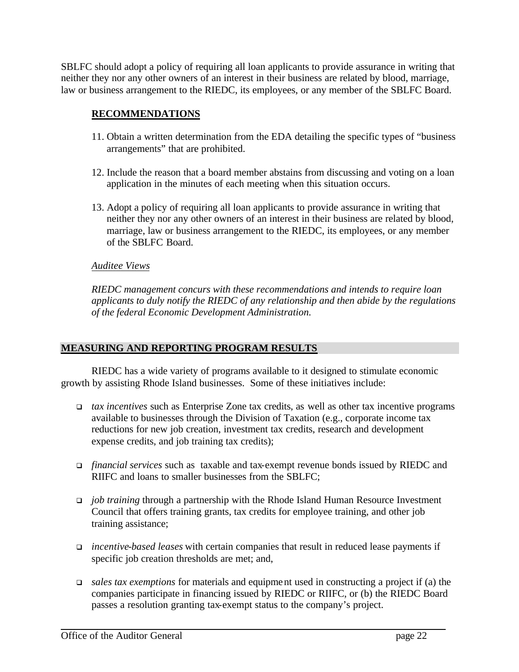SBLFC should adopt a policy of requiring all loan applicants to provide assurance in writing that neither they nor any other owners of an interest in their business are related by blood, marriage, law or business arrangement to the RIEDC, its employees, or any member of the SBLFC Board.

### **RECOMMENDATIONS**

- 11. Obtain a written determination from the EDA detailing the specific types of "business arrangements" that are prohibited.
- 12. Include the reason that a board member abstains from discussing and voting on a loan application in the minutes of each meeting when this situation occurs.
- 13. Adopt a policy of requiring all loan applicants to provide assurance in writing that neither they nor any other owners of an interest in their business are related by blood, marriage, law or business arrangement to the RIEDC, its employees, or any member of the SBLFC Board.

### *Auditee Views*

*RIEDC management concurs with these recommendations and intends to require loan applicants to duly notify the RIEDC of any relationship and then abide by the regulations of the federal Economic Development Administration.*

### **MEASURING AND REPORTING PROGRAM RESULTS**

RIEDC has a wide variety of programs available to it designed to stimulate economic growth by assisting Rhode Island businesses. Some of these initiatives include:

- <sup>q</sup> *tax incentives* such as Enterprise Zone tax credits, as well as other tax incentive programs available to businesses through the Division of Taxation (e.g., corporate income tax reductions for new job creation, investment tax credits, research and development expense credits, and job training tax credits);
- <sup>q</sup> *financial services* such as taxable and tax-exempt revenue bonds issued by RIEDC and RIIFC and loans to smaller businesses from the SBLFC;
- <sup>q</sup> *job training* through a partnership with the Rhode Island Human Resource Investment Council that offers training grants, tax credits for employee training, and other job training assistance;
- <sup>q</sup> *incentive-based leases* with certain companies that result in reduced lease payments if specific job creation thresholds are met; and,
- <sup>q</sup> *sales tax exemptions* for materials and equipment used in constructing a project if (a) the companies participate in financing issued by RIEDC or RIIFC, or (b) the RIEDC Board passes a resolution granting tax-exempt status to the company's project.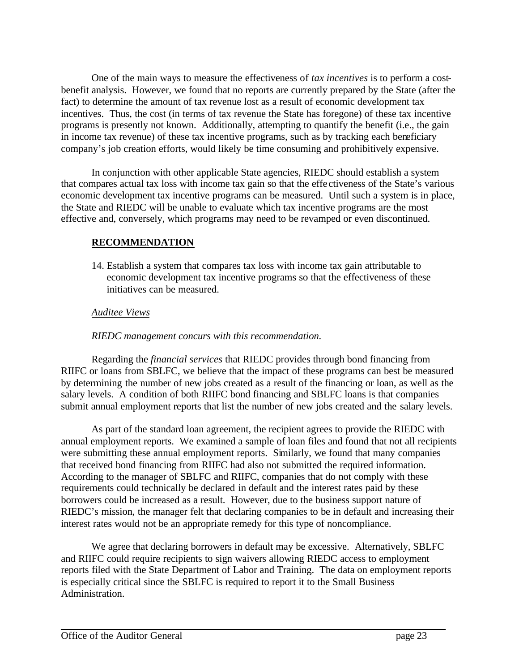One of the main ways to measure the effectiveness of *tax incentives* is to perform a costbenefit analysis. However, we found that no reports are currently prepared by the State (after the fact) to determine the amount of tax revenue lost as a result of economic development tax incentives. Thus, the cost (in terms of tax revenue the State has foregone) of these tax incentive programs is presently not known. Additionally, attempting to quantify the benefit (i.e., the gain in income tax revenue) of these tax incentive programs, such as by tracking each beneficiary company's job creation efforts, would likely be time consuming and prohibitively expensive.

In conjunction with other applicable State agencies, RIEDC should establish a system that compares actual tax loss with income tax gain so that the effe ctiveness of the State's various economic development tax incentive programs can be measured. Until such a system is in place, the State and RIEDC will be unable to evaluate which tax incentive programs are the most effective and, conversely, which programs may need to be revamped or even discontinued.

### **RECOMMENDATION**

14. Establish a system that compares tax loss with income tax gain attributable to economic development tax incentive programs so that the effectiveness of these initiatives can be measured.

### *Auditee Views*

### *RIEDC management concurs with this recommendation.*

Regarding the *financial services* that RIEDC provides through bond financing from RIIFC or loans from SBLFC, we believe that the impact of these programs can best be measured by determining the number of new jobs created as a result of the financing or loan, as well as the salary levels. A condition of both RIIFC bond financing and SBLFC loans is that companies submit annual employment reports that list the number of new jobs created and the salary levels.

As part of the standard loan agreement, the recipient agrees to provide the RIEDC with annual employment reports. We examined a sample of loan files and found that not all recipients were submitting these annual employment reports. Similarly, we found that many companies that received bond financing from RIIFC had also not submitted the required information. According to the manager of SBLFC and RIIFC, companies that do not comply with these requirements could technically be declared in default and the interest rates paid by these borrowers could be increased as a result. However, due to the business support nature of RIEDC's mission, the manager felt that declaring companies to be in default and increasing their interest rates would not be an appropriate remedy for this type of noncompliance.

We agree that declaring borrowers in default may be excessive. Alternatively, SBLFC and RIIFC could require recipients to sign waivers allowing RIEDC access to employment reports filed with the State Department of Labor and Training. The data on employment reports is especially critical since the SBLFC is required to report it to the Small Business Administration.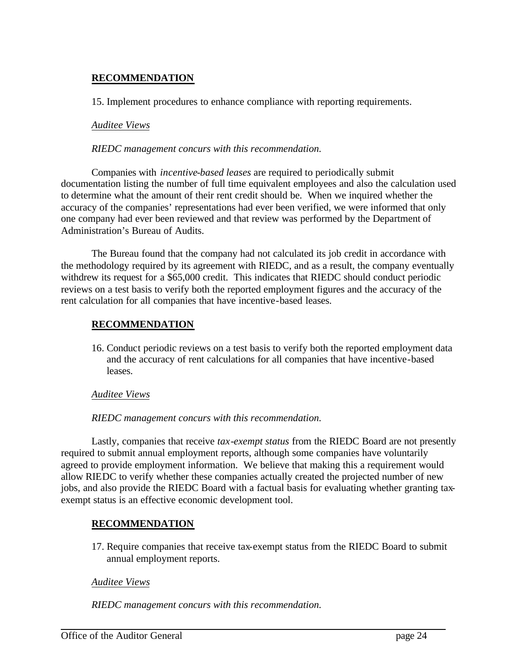### **RECOMMENDATION**

15. Implement procedures to enhance compliance with reporting requirements.

### *Auditee Views*

### *RIEDC management concurs with this recommendation.*

Companies with *incentive-based leases* are required to periodically submit documentation listing the number of full time equivalent employees and also the calculation used to determine what the amount of their rent credit should be. When we inquired whether the accuracy of the companies' representations had ever been verified, we were informed that only one company had ever been reviewed and that review was performed by the Department of Administration's Bureau of Audits.

The Bureau found that the company had not calculated its job credit in accordance with the methodology required by its agreement with RIEDC, and as a result, the company eventually withdrew its request for a \$65,000 credit. This indicates that RIEDC should conduct periodic reviews on a test basis to verify both the reported employment figures and the accuracy of the rent calculation for all companies that have incentive-based leases.

### **RECOMMENDATION**

16. Conduct periodic reviews on a test basis to verify both the reported employment data and the accuracy of rent calculations for all companies that have incentive-based leases.

### *Auditee Views*

*RIEDC management concurs with this recommendation.*

Lastly, companies that receive *tax-exempt status* from the RIEDC Board are not presently required to submit annual employment reports, although some companies have voluntarily agreed to provide employment information. We believe that making this a requirement would allow RIEDC to verify whether these companies actually created the projected number of new jobs, and also provide the RIEDC Board with a factual basis for evaluating whether granting taxexempt status is an effective economic development tool.

### **RECOMMENDATION**

17. Require companies that receive tax-exempt status from the RIEDC Board to submit annual employment reports.

### *Auditee Views*

*RIEDC management concurs with this recommendation.*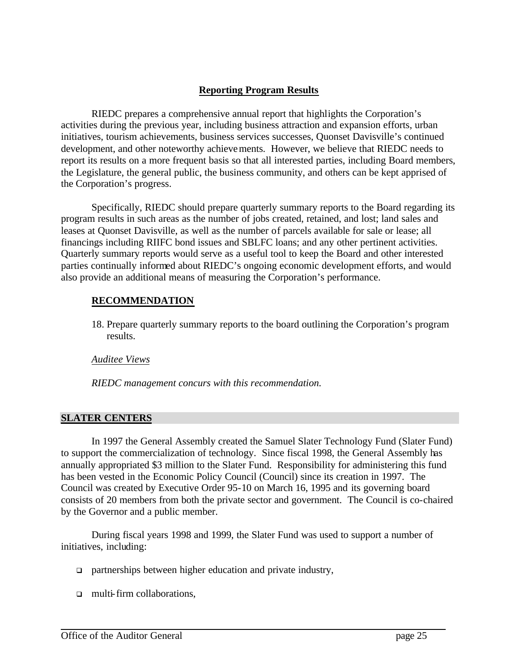### **Reporting Program Results**

RIEDC prepares a comprehensive annual report that highlights the Corporation's activities during the previous year, including business attraction and expansion efforts, urban initiatives, tourism achievements, business services successes, Quonset Davisville's continued development, and other noteworthy achievements. However, we believe that RIEDC needs to report its results on a more frequent basis so that all interested parties, including Board members, the Legislature, the general public, the business community, and others can be kept apprised of the Corporation's progress.

Specifically, RIEDC should prepare quarterly summary reports to the Board regarding its program results in such areas as the number of jobs created, retained, and lost; land sales and leases at Quonset Davisville, as well as the number of parcels available for sale or lease; all financings including RIIFC bond issues and SBLFC loans; and any other pertinent activities. Quarterly summary reports would serve as a useful tool to keep the Board and other interested parties continually informed about RIEDC's ongoing economic development efforts, and would also provide an additional means of measuring the Corporation's performance.

### **RECOMMENDATION**

18. Prepare quarterly summary reports to the board outlining the Corporation's program results.

### *Auditee Views*

*RIEDC management concurs with this recommendation.*

### **SLATER CENTERS**

In 1997 the General Assembly created the Samuel Slater Technology Fund (Slater Fund) to support the commercialization of technology. Since fiscal 1998, the General Assembly has annually appropriated \$3 million to the Slater Fund. Responsibility for administering this fund has been vested in the Economic Policy Council (Council) since its creation in 1997. The Council was created by Executive Order 95-10 on March 16, 1995 and its governing board consists of 20 members from both the private sector and government. The Council is co-chaired by the Governor and a public member.

During fiscal years 1998 and 1999, the Slater Fund was used to support a number of initiatives, including:

- $\Box$  partnerships between higher education and private industry,
- $\Box$  multi-firm collaborations.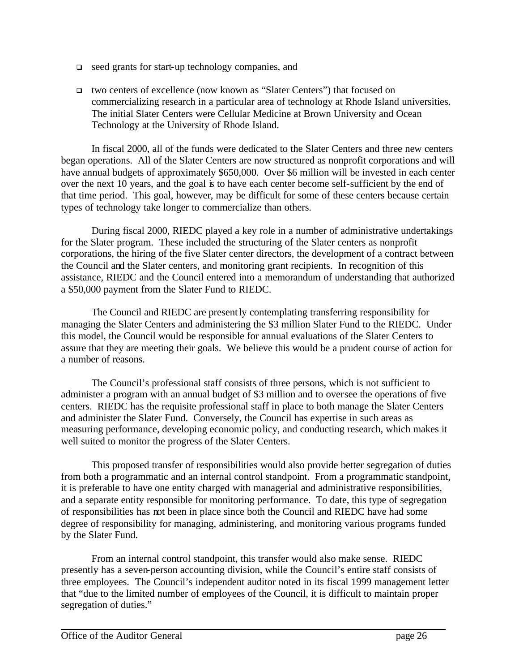- $\Box$  seed grants for start-up technology companies, and
- <sup>q</sup> two centers of excellence (now known as "Slater Centers") that focused on commercializing research in a particular area of technology at Rhode Island universities. The initial Slater Centers were Cellular Medicine at Brown University and Ocean Technology at the University of Rhode Island.

In fiscal 2000, all of the funds were dedicated to the Slater Centers and three new centers began operations. All of the Slater Centers are now structured as nonprofit corporations and will have annual budgets of approximately \$650,000. Over \$6 million will be invested in each center over the next 10 years, and the goal is to have each center become self-sufficient by the end of that time period. This goal, however, may be difficult for some of these centers because certain types of technology take longer to commercialize than others.

During fiscal 2000, RIEDC played a key role in a number of administrative undertakings for the Slater program. These included the structuring of the Slater centers as nonprofit corporations, the hiring of the five Slater center directors, the development of a contract between the Council and the Slater centers, and monitoring grant recipients. In recognition of this assistance, RIEDC and the Council entered into a memorandum of understanding that authorized a \$50,000 payment from the Slater Fund to RIEDC.

The Council and RIEDC are presently contemplating transferring responsibility for managing the Slater Centers and administering the \$3 million Slater Fund to the RIEDC. Under this model, the Council would be responsible for annual evaluations of the Slater Centers to assure that they are meeting their goals. We believe this would be a prudent course of action for a number of reasons.

The Council's professional staff consists of three persons, which is not sufficient to administer a program with an annual budget of \$3 million and to oversee the operations of five centers. RIEDC has the requisite professional staff in place to both manage the Slater Centers and administer the Slater Fund. Conversely, the Council has expertise in such areas as measuring performance, developing economic policy, and conducting research, which makes it well suited to monitor the progress of the Slater Centers.

This proposed transfer of responsibilities would also provide better segregation of duties from both a programmatic and an internal control standpoint. From a programmatic standpoint, it is preferable to have one entity charged with managerial and administrative responsibilities, and a separate entity responsible for monitoring performance. To date, this type of segregation of responsibilities has not been in place since both the Council and RIEDC have had some degree of responsibility for managing, administering, and monitoring various programs funded by the Slater Fund.

From an internal control standpoint, this transfer would also make sense. RIEDC presently has a seven-person accounting division, while the Council's entire staff consists of three employees. The Council's independent auditor noted in its fiscal 1999 management letter that "due to the limited number of employees of the Council, it is difficult to maintain proper segregation of duties."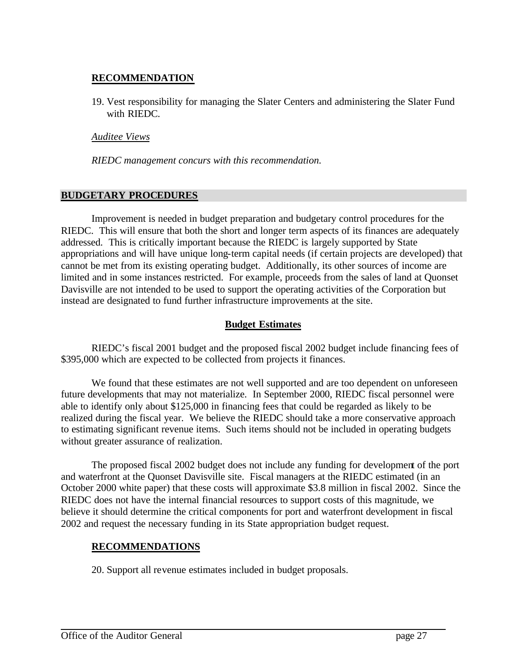### **RECOMMENDATION**

19. Vest responsibility for managing the Slater Centers and administering the Slater Fund with RIEDC.

*Auditee Views*

*RIEDC management concurs with this recommendation.*

### **BUDGETARY PROCEDURES**

Improvement is needed in budget preparation and budgetary control procedures for the RIEDC. This will ensure that both the short and longer term aspects of its finances are adequately addressed. This is critically important because the RIEDC is largely supported by State appropriations and will have unique long-term capital needs (if certain projects are developed) that cannot be met from its existing operating budget. Additionally, its other sources of income are limited and in some instances restricted. For example, proceeds from the sales of land at Quonset Davisville are not intended to be used to support the operating activities of the Corporation but instead are designated to fund further infrastructure improvements at the site.

### **Budget Estimates**

RIEDC's fiscal 2001 budget and the proposed fiscal 2002 budget include financing fees of \$395,000 which are expected to be collected from projects it finances.

We found that these estimates are not well supported and are too dependent on unforeseen future developments that may not materialize. In September 2000, RIEDC fiscal personnel were able to identify only about \$125,000 in financing fees that could be regarded as likely to be realized during the fiscal year. We believe the RIEDC should take a more conservative approach to estimating significant revenue items. Such items should not be included in operating budgets without greater assurance of realization.

The proposed fiscal 2002 budget does not include any funding for development of the port and waterfront at the Quonset Davisville site. Fiscal managers at the RIEDC estimated (in an October 2000 white paper) that these costs will approximate \$3.8 million in fiscal 2002. Since the RIEDC does not have the internal financial resources to support costs of this magnitude, we believe it should determine the critical components for port and waterfront development in fiscal 2002 and request the necessary funding in its State appropriation budget request.

### **RECOMMENDATIONS**

20. Support all revenue estimates included in budget proposals.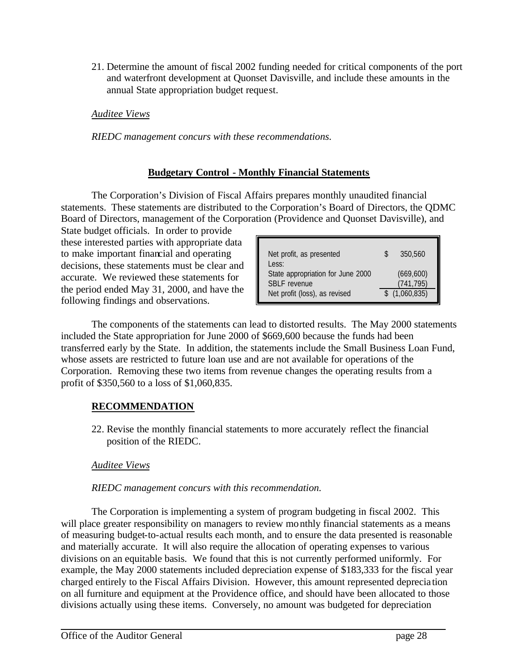21. Determine the amount of fiscal 2002 funding needed for critical components of the port and waterfront development at Quonset Davisville, and include these amounts in the annual State appropriation budget request.

### *Auditee Views*

*RIEDC management concurs with these recommendations.*

### **Budgetary Control - Monthly Financial Statements**

The Corporation's Division of Fiscal Affairs prepares monthly unaudited financial statements. These statements are distributed to the Corporation's Board of Directors, the QDMC Board of Directors, management of the Corporation (Providence and Quonset Davisville), and

State budget officials. In order to provide these interested parties with appropriate data to make important financial and operating decisions, these statements must be clear and accurate. We reviewed these statements for the period ended May 31, 2000, and have the following findings and observations.

| Net profit, as presented<br>Less:                        | 350,560                  |
|----------------------------------------------------------|--------------------------|
| State appropriation for June 2000<br><b>SBLF</b> revenue | (669, 600)<br>(741, 795) |
| Net profit (loss), as revised                            | \$(1,060,835)            |

The components of the statements can lead to distorted results. The May 2000 statements included the State appropriation for June 2000 of \$669,600 because the funds had been transferred early by the State. In addition, the statements include the Small Business Loan Fund, whose assets are restricted to future loan use and are not available for operations of the Corporation. Removing these two items from revenue changes the operating results from a profit of \$350,560 to a loss of \$1,060,835.

### **RECOMMENDATION**

22. Revise the monthly financial statements to more accurately reflect the financial position of the RIEDC.

### *Auditee Views*

### *RIEDC management concurs with this recommendation.*

The Corporation is implementing a system of program budgeting in fiscal 2002. This will place greater responsibility on managers to review monthly financial statements as a means of measuring budget-to-actual results each month, and to ensure the data presented is reasonable and materially accurate. It will also require the allocation of operating expenses to various divisions on an equitable basis. We found that this is not currently performed uniformly. For example, the May 2000 statements included depreciation expense of \$183,333 for the fiscal year charged entirely to the Fiscal Affairs Division. However, this amount represented deprecia tion on all furniture and equipment at the Providence office, and should have been allocated to those divisions actually using these items. Conversely, no amount was budgeted for depreciation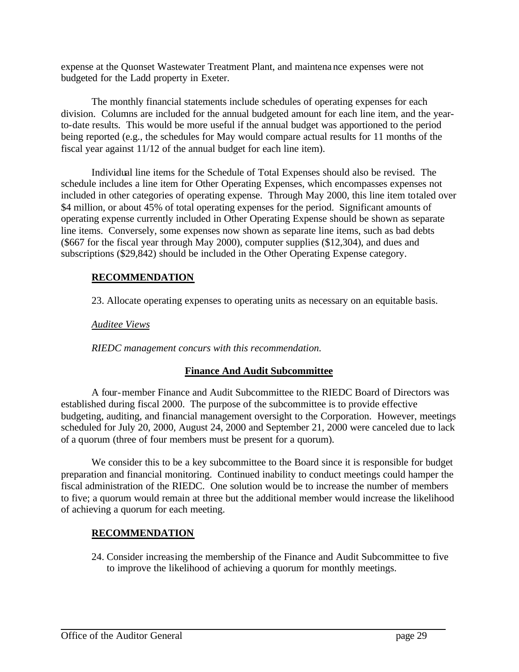expense at the Quonset Wastewater Treatment Plant, and maintenance expenses were not budgeted for the Ladd property in Exeter.

The monthly financial statements include schedules of operating expenses for each division. Columns are included for the annual budgeted amount for each line item, and the yearto-date results. This would be more useful if the annual budget was apportioned to the period being reported (e.g., the schedules for May would compare actual results for 11 months of the fiscal year against 11/12 of the annual budget for each line item).

Individual line items for the Schedule of Total Expenses should also be revised. The schedule includes a line item for Other Operating Expenses, which encompasses expenses not included in other categories of operating expense. Through May 2000, this line item totaled over \$4 million, or about 45% of total operating expenses for the period. Significant amounts of operating expense currently included in Other Operating Expense should be shown as separate line items. Conversely, some expenses now shown as separate line items, such as bad debts (\$667 for the fiscal year through May 2000), computer supplies (\$12,304), and dues and subscriptions (\$29,842) should be included in the Other Operating Expense category.

### **RECOMMENDATION**

23. Allocate operating expenses to operating units as necessary on an equitable basis.

*Auditee Views*

*RIEDC management concurs with this recommendation.*

### **Finance And Audit Subcommittee**

A four-member Finance and Audit Subcommittee to the RIEDC Board of Directors was established during fiscal 2000. The purpose of the subcommittee is to provide effective budgeting, auditing, and financial management oversight to the Corporation. However, meetings scheduled for July 20, 2000, August 24, 2000 and September 21, 2000 were canceled due to lack of a quorum (three of four members must be present for a quorum).

We consider this to be a key subcommittee to the Board since it is responsible for budget preparation and financial monitoring. Continued inability to conduct meetings could hamper the fiscal administration of the RIEDC. One solution would be to increase the number of members to five; a quorum would remain at three but the additional member would increase the likelihood of achieving a quorum for each meeting.

### **RECOMMENDATION**

24. Consider increasing the membership of the Finance and Audit Subcommittee to five to improve the likelihood of achieving a quorum for monthly meetings.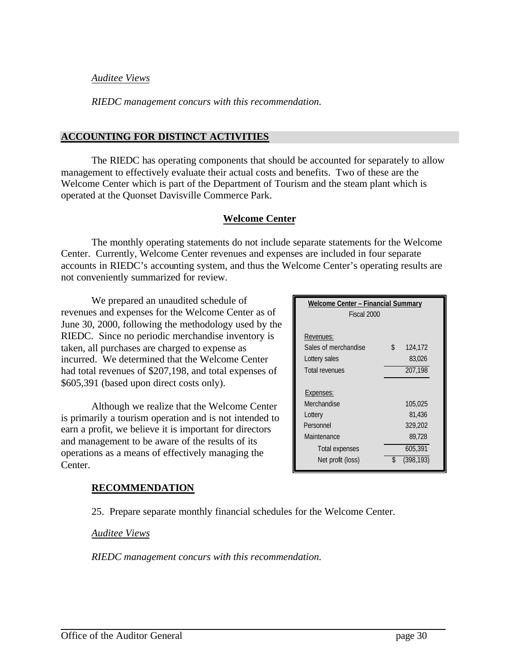### *Auditee Views*

*RIEDC management concurs with this recommendation.*

### **ACCOUNTING FOR DISTINCT ACTIVITIES**

The RIEDC has operating components that should be accounted for separately to allow management to effectively evaluate their actual costs and benefits. Two of these are the Welcome Center which is part of the Department of Tourism and the steam plant which is operated at the Quonset Davisville Commerce Park.

### **Welcome Center**

The monthly operating statements do not include separate statements for the Welcome Center. Currently, Welcome Center revenues and expenses are included in four separate accounts in RIEDC's accounting system, and thus the Welcome Center's operating results are not conveniently summarized for review.

We prepared an unaudited schedule of revenues and expenses for the Welcome Center as of June 30, 2000, following the methodology used by the RIEDC. Since no periodic merchandise inventory is taken, all purchases are charged to expense as incurred. We determined that the Welcome Center had total revenues of \$207,198, and total expenses of \$605,391 (based upon direct costs only).

Although we realize that the Welcome Center is primarily a tourism operation and is not intended to earn a profit, we believe it is important for directors and management to be aware of the results of its operations as a means of effectively managing the Center.

### **Welcome Center – Financial Summary** Fiscal 2000 Revenues: Sales of merchandise  $\qquad \qquad$  \$ 124,172 Lottery sales 83,026 Total revenues 207,198 Expenses: Merchandise 105,025 Lottery 81,436 Personnel 329,202 Maintenance 89.728 Total expenses 605,391 Net profit (loss)  $\frac{1}{2}$  (398,193)

### **RECOMMENDATION**

25. Prepare separate monthly financial schedules for the Welcome Center.

*Auditee Views*

*RIEDC management concurs with this recommendation.*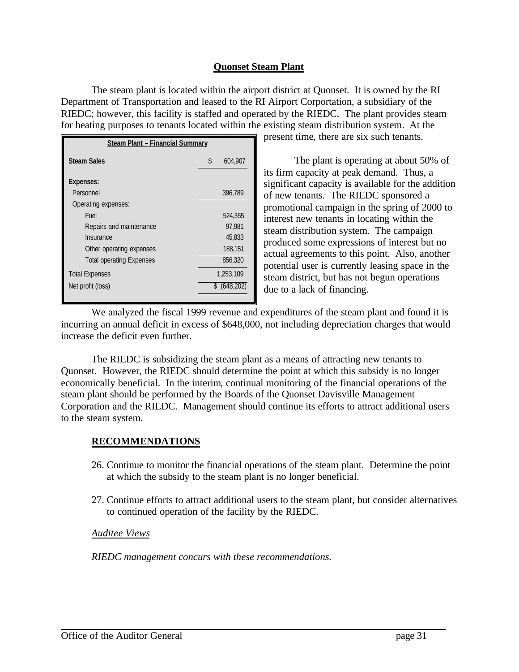### **Quonset Steam Plant**

The steam plant is located within the airport district at Quonset. It is owned by the RI Department of Transportation and leased to the RI Airport Corportation, a subsidiary of the RIEDC; however, this facility is staffed and operated by the RIEDC. The plant provides steam for heating purposes to tenants located within the existing steam distribution system. At the

| <b>Steam Plant - Financial Summary</b> |               |                  |  |
|----------------------------------------|---------------|------------------|--|
| <b>Steam Sales</b>                     | $\mathcal{S}$ | 604,907          |  |
| <b>Expenses:</b>                       |               |                  |  |
| Personnel                              |               | 396,789          |  |
| Operating expenses:                    |               |                  |  |
| Fuel                                   |               | 524,355          |  |
| Repairs and maintenance                |               | 97.981           |  |
| Insurance                              |               | 45,833           |  |
| Other operating expenses               |               | 188,151          |  |
| <b>Total operating Expenses</b>        |               | 856,320          |  |
| <b>Total Expenses</b>                  |               | 1,253,109        |  |
| Net profit (loss)                      |               | $$^{(648,202)}$$ |  |
|                                        |               |                  |  |

present time, there are six such tenants.

The plant is operating at about 50% of its firm capacity at peak demand. Thus, a significant capacity is available for the addition of new tenants. The RIEDC sponsored a promotional campaign in the spring of 2000 to interest new tenants in locating within the steam distribution system. The campaign produced some expressions of interest but no actual agreements to this point. Also, another potential user is currently leasing space in the steam district, but has not begun operations due to a lack of financing.

We analyzed the fiscal 1999 revenue and expenditures of the steam plant and found it is incurring an annual deficit in excess of \$648,000, not including depreciation charges that would increase the deficit even further.

The RIEDC is subsidizing the steam plant as a means of attracting new tenants to Quonset. However, the RIEDC should determine the point at which this subsidy is no longer economically beneficial. In the interim, continual monitoring of the financial operations of the steam plant should be performed by the Boards of the Quonset Davisville Management Corporation and the RIEDC. Management should continue its efforts to attract additional users to the steam system.

### **RECOMMENDATIONS**

- 26. Continue to monitor the financial operations of the steam plant. Determine the point at which the subsidy to the steam plant is no longer beneficial.
- 27. Continue efforts to attract additional users to the steam plant, but consider alternatives to continued operation of the facility by the RIEDC.

### *Auditee Views*

*RIEDC management concurs with these recommendations.*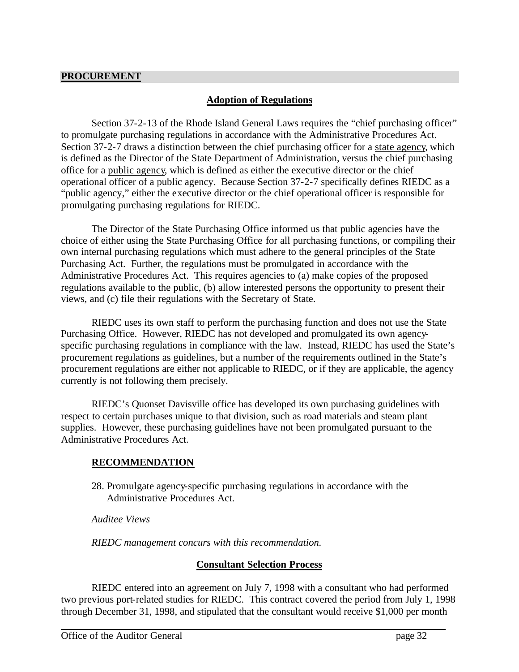### **Adoption of Regulations**

Section 37-2-13 of the Rhode Island General Laws requires the "chief purchasing officer" to promulgate purchasing regulations in accordance with the Administrative Procedures Act. Section 37-2-7 draws a distinction between the chief purchasing officer for a state agency, which is defined as the Director of the State Department of Administration, versus the chief purchasing office for a public agency, which is defined as either the executive director or the chief operational officer of a public agency. Because Section 37-2-7 specifically defines RIEDC as a "public agency," either the executive director or the chief operational officer is responsible for promulgating purchasing regulations for RIEDC.

The Director of the State Purchasing Office informed us that public agencies have the choice of either using the State Purchasing Office for all purchasing functions, or compiling their own internal purchasing regulations which must adhere to the general principles of the State Purchasing Act. Further, the regulations must be promulgated in accordance with the Administrative Procedures Act. This requires agencies to (a) make copies of the proposed regulations available to the public, (b) allow interested persons the opportunity to present their views, and (c) file their regulations with the Secretary of State.

RIEDC uses its own staff to perform the purchasing function and does not use the State Purchasing Office. However, RIEDC has not developed and promulgated its own agencyspecific purchasing regulations in compliance with the law. Instead, RIEDC has used the State's procurement regulations as guidelines, but a number of the requirements outlined in the State's procurement regulations are either not applicable to RIEDC, or if they are applicable, the agency currently is not following them precisely.

RIEDC's Quonset Davisville office has developed its own purchasing guidelines with respect to certain purchases unique to that division, such as road materials and steam plant supplies. However, these purchasing guidelines have not been promulgated pursuant to the Administrative Procedures Act.

### **RECOMMENDATION**

28. Promulgate agency-specific purchasing regulations in accordance with the Administrative Procedures Act.

### *Auditee Views*

*RIEDC management concurs with this recommendation.* 

### **Consultant Selection Process**

RIEDC entered into an agreement on July 7, 1998 with a consultant who had performed two previous port-related studies for RIEDC. This contract covered the period from July 1, 1998 through December 31, 1998, and stipulated that the consultant would receive \$1,000 per month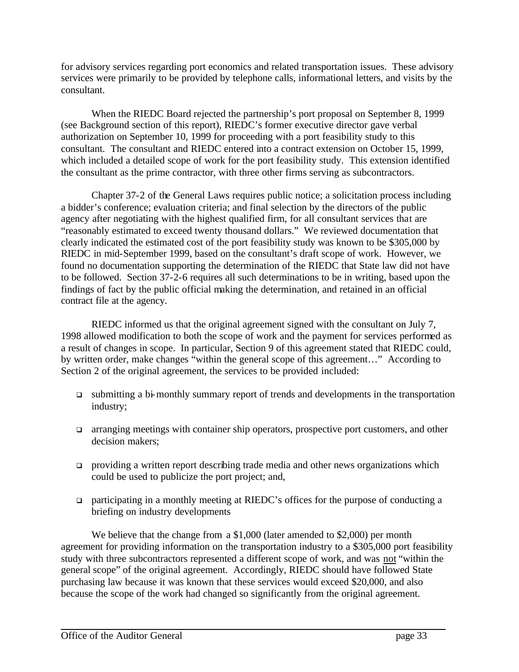for advisory services regarding port economics and related transportation issues. These advisory services were primarily to be provided by telephone calls, informational letters, and visits by the consultant.

When the RIEDC Board rejected the partnership's port proposal on September 8, 1999 (see Background section of this report), RIEDC's former executive director gave verbal authorization on September 10, 1999 for proceeding with a port feasibility study to this consultant. The consultant and RIEDC entered into a contract extension on October 15, 1999, which included a detailed scope of work for the port feasibility study. This extension identified the consultant as the prime contractor, with three other firms serving as subcontractors.

Chapter 37-2 of the General Laws requires public notice; a solicitation process including a bidder's conference; evaluation criteria; and final selection by the directors of the public agency after negotiating with the highest qualified firm, for all consultant services that are "reasonably estimated to exceed twenty thousand dollars." We reviewed documentation that clearly indicated the estimated cost of the port feasibility study was known to be \$305,000 by RIEDC in mid-September 1999, based on the consultant's draft scope of work. However, we found no documentation supporting the determination of the RIEDC that State law did not have to be followed. Section 37-2-6 requires all such determinations to be in writing, based upon the findings of fact by the public official making the determination, and retained in an official contract file at the agency.

RIEDC informed us that the original agreement signed with the consultant on July 7, 1998 allowed modification to both the scope of work and the payment for services performed as a result of changes in scope. In particular, Section 9 of this agreement stated that RIEDC could, by written order, make changes "within the general scope of this agreement…" According to Section 2 of the original agreement, the services to be provided included:

- q submitting a bi-monthly summary report of trends and developments in the transportation industry;
- **q** arranging meetings with container ship operators, prospective port customers, and other decision makers;
- providing a written report describing trade media and other news organizations which could be used to publicize the port project; and,
- $\Box$  participating in a monthly meeting at RIEDC's offices for the purpose of conducting a briefing on industry developments

We believe that the change from a \$1,000 (later amended to \$2,000) per month agreement for providing information on the transportation industry to a \$305,000 port feasibility study with three subcontractors represented a different scope of work, and was not "within the general scope" of the original agreement. Accordingly, RIEDC should have followed State purchasing law because it was known that these services would exceed \$20,000, and also because the scope of the work had changed so significantly from the original agreement.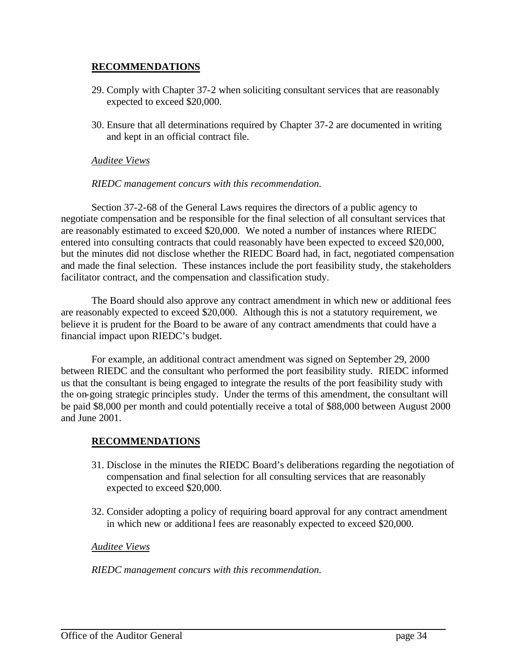### **RECOMMENDATIONS**

- 29. Comply with Chapter 37-2 when soliciting consultant services that are reasonably expected to exceed \$20,000.
- 30. Ensure that all determinations required by Chapter 37-2 are documented in writing and kept in an official contract file.

### *Auditee Views*

### *RIEDC management concurs with this recommendation.*

Section 37-2-68 of the General Laws requires the directors of a public agency to negotiate compensation and be responsible for the final selection of all consultant services that are reasonably estimated to exceed \$20,000. We noted a number of instances where RIEDC entered into consulting contracts that could reasonably have been expected to exceed \$20,000, but the minutes did not disclose whether the RIEDC Board had, in fact, negotiated compensation and made the final selection. These instances include the port feasibility study, the stakeholders facilitator contract, and the compensation and classification study.

The Board should also approve any contract amendment in which new or additional fees are reasonably expected to exceed \$20,000. Although this is not a statutory requirement, we believe it is prudent for the Board to be aware of any contract amendments that could have a financial impact upon RIEDC's budget.

For example, an additional contract amendment was signed on September 29, 2000 between RIEDC and the consultant who performed the port feasibility study. RIEDC informed us that the consultant is being engaged to integrate the results of the port feasibility study with the on-going strategic principles study. Under the terms of this amendment, the consultant will be paid \$8,000 per month and could potentially receive a total of \$88,000 between August 2000 and June 2001.

### **RECOMMENDATIONS**

- 31. Disclose in the minutes the RIEDC Board's deliberations regarding the negotiation of compensation and final selection for all consulting services that are reasonably expected to exceed \$20,000.
- 32. Consider adopting a policy of requiring board approval for any contract amendment in which new or additional fees are reasonably expected to exceed \$20,000.

### *Auditee Views*

*RIEDC management concurs with this recommendation.*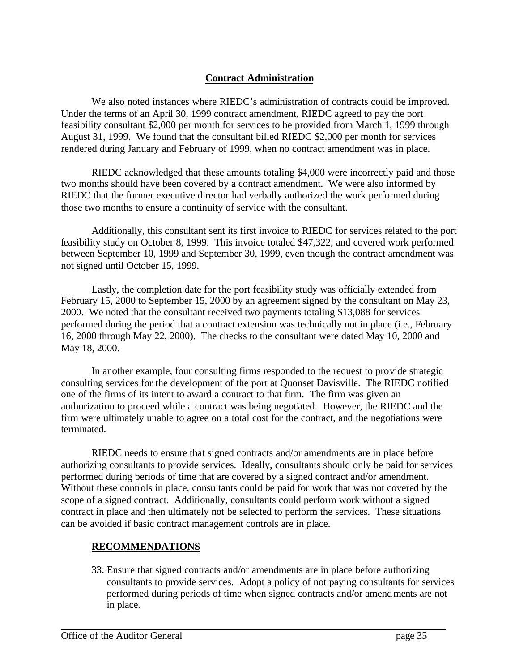### **Contract Administration**

We also noted instances where RIEDC's administration of contracts could be improved. Under the terms of an April 30, 1999 contract amendment, RIEDC agreed to pay the port feasibility consultant \$2,000 per month for services to be provided from March 1, 1999 through August 31, 1999. We found that the consultant billed RIEDC \$2,000 per month for services rendered during January and February of 1999, when no contract amendment was in place.

RIEDC acknowledged that these amounts totaling \$4,000 were incorrectly paid and those two months should have been covered by a contract amendment. We were also informed by RIEDC that the former executive director had verbally authorized the work performed during those two months to ensure a continuity of service with the consultant.

Additionally, this consultant sent its first invoice to RIEDC for services related to the port feasibility study on October 8, 1999. This invoice totaled \$47,322, and covered work performed between September 10, 1999 and September 30, 1999, even though the contract amendment was not signed until October 15, 1999.

Lastly, the completion date for the port feasibility study was officially extended from February 15, 2000 to September 15, 2000 by an agreement signed by the consultant on May 23, 2000. We noted that the consultant received two payments totaling \$13,088 for services performed during the period that a contract extension was technically not in place (i.e., February 16, 2000 through May 22, 2000). The checks to the consultant were dated May 10, 2000 and May 18, 2000.

In another example, four consulting firms responded to the request to provide strategic consulting services for the development of the port at Quonset Davisville. The RIEDC notified one of the firms of its intent to award a contract to that firm. The firm was given an authorization to proceed while a contract was being negotiated. However, the RIEDC and the firm were ultimately unable to agree on a total cost for the contract, and the negotiations were terminated.

RIEDC needs to ensure that signed contracts and/or amendments are in place before authorizing consultants to provide services. Ideally, consultants should only be paid for services performed during periods of time that are covered by a signed contract and/or amendment. Without these controls in place, consultants could be paid for work that was not covered by the scope of a signed contract. Additionally, consultants could perform work without a signed contract in place and then ultimately not be selected to perform the services. These situations can be avoided if basic contract management controls are in place.

### **RECOMMENDATIONS**

33. Ensure that signed contracts and/or amendments are in place before authorizing consultants to provide services. Adopt a policy of not paying consultants for services performed during periods of time when signed contracts and/or amendments are not in place.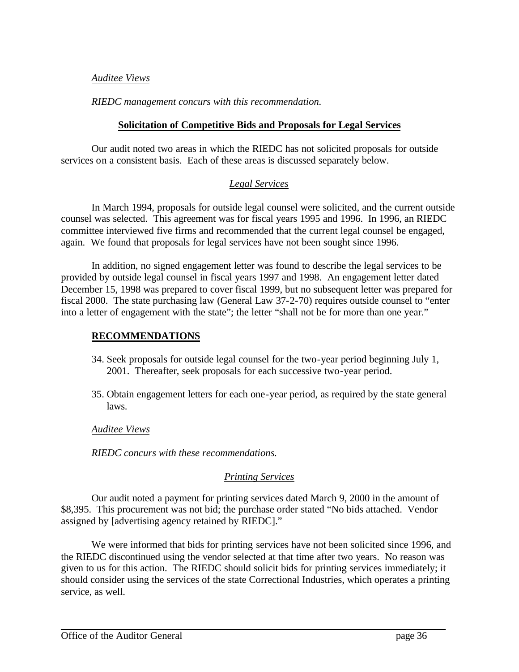### *Auditee Views*

### *RIEDC management concurs with this recommendation.*

### **Solicitation of Competitive Bids and Proposals for Legal Services**

Our audit noted two areas in which the RIEDC has not solicited proposals for outside services on a consistent basis. Each of these areas is discussed separately below.

### *Legal Services*

In March 1994, proposals for outside legal counsel were solicited, and the current outside counsel was selected. This agreement was for fiscal years 1995 and 1996. In 1996, an RIEDC committee interviewed five firms and recommended that the current legal counsel be engaged, again. We found that proposals for legal services have not been sought since 1996.

In addition, no signed engagement letter was found to describe the legal services to be provided by outside legal counsel in fiscal years 1997 and 1998. An engagement letter dated December 15, 1998 was prepared to cover fiscal 1999, but no subsequent letter was prepared for fiscal 2000. The state purchasing law (General Law 37-2-70) requires outside counsel to "enter into a letter of engagement with the state"; the letter "shall not be for more than one year."

### **RECOMMENDATIONS**

- 34. Seek proposals for outside legal counsel for the two-year period beginning July 1, 2001. Thereafter, seek proposals for each successive two-year period.
- 35. Obtain engagement letters for each one-year period, as required by the state general laws.

*Auditee Views*

*RIEDC concurs with these recommendations.*

### *Printing Services*

Our audit noted a payment for printing services dated March 9, 2000 in the amount of \$8,395. This procurement was not bid; the purchase order stated "No bids attached. Vendor assigned by [advertising agency retained by RIEDC]."

We were informed that bids for printing services have not been solicited since 1996, and the RIEDC discontinued using the vendor selected at that time after two years. No reason was given to us for this action. The RIEDC should solicit bids for printing services immediately; it should consider using the services of the state Correctional Industries, which operates a printing service, as well.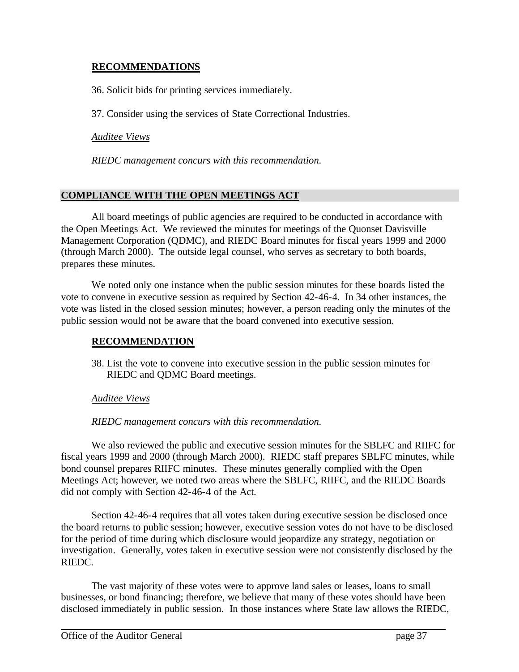### **RECOMMENDATIONS**

36. Solicit bids for printing services immediately.

37. Consider using the services of State Correctional Industries.

*Auditee Views*

*RIEDC management concurs with this recommendation.*

### **COMPLIANCE WITH THE OPEN MEETINGS ACT**

All board meetings of public agencies are required to be conducted in accordance with the Open Meetings Act. We reviewed the minutes for meetings of the Quonset Davisville Management Corporation (QDMC), and RIEDC Board minutes for fiscal years 1999 and 2000 (through March 2000). The outside legal counsel, who serves as secretary to both boards, prepares these minutes.

We noted only one instance when the public session minutes for these boards listed the vote to convene in executive session as required by Section 42-46-4. In 34 other instances, the vote was listed in the closed session minutes; however, a person reading only the minutes of the public session would not be aware that the board convened into executive session.

### **RECOMMENDATION**

38. List the vote to convene into executive session in the public session minutes for RIEDC and QDMC Board meetings.

### *Auditee Views*

*RIEDC management concurs with this recommendation.*

We also reviewed the public and executive session minutes for the SBLFC and RIIFC for fiscal years 1999 and 2000 (through March 2000). RIEDC staff prepares SBLFC minutes, while bond counsel prepares RIIFC minutes. These minutes generally complied with the Open Meetings Act; however, we noted two areas where the SBLFC, RIIFC, and the RIEDC Boards did not comply with Section 42-46-4 of the Act.

Section 42-46-4 requires that all votes taken during executive session be disclosed once the board returns to public session; however, executive session votes do not have to be disclosed for the period of time during which disclosure would jeopardize any strategy, negotiation or investigation. Generally, votes taken in executive session were not consistently disclosed by the RIEDC.

The vast majority of these votes were to approve land sales or leases, loans to small businesses, or bond financing; therefore, we believe that many of these votes should have been disclosed immediately in public session. In those instances where State law allows the RIEDC,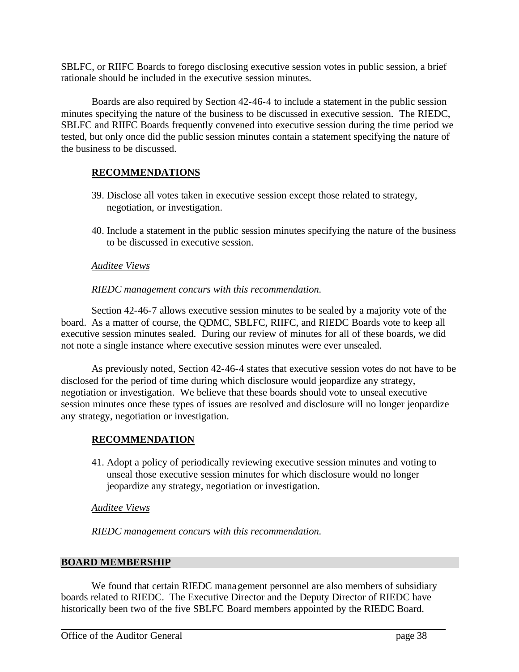SBLFC, or RIIFC Boards to forego disclosing executive session votes in public session, a brief rationale should be included in the executive session minutes.

Boards are also required by Section 42-46-4 to include a statement in the public session minutes specifying the nature of the business to be discussed in executive session. The RIEDC, SBLFC and RIIFC Boards frequently convened into executive session during the time period we tested, but only once did the public session minutes contain a statement specifying the nature of the business to be discussed.

### **RECOMMENDATIONS**

- 39. Disclose all votes taken in executive session except those related to strategy, negotiation, or investigation.
- 40. Include a statement in the public session minutes specifying the nature of the business to be discussed in executive session.

### *Auditee Views*

### *RIEDC management concurs with this recommendation.*

Section 42-46-7 allows executive session minutes to be sealed by a majority vote of the board. As a matter of course, the QDMC, SBLFC, RIIFC, and RIEDC Boards vote to keep all executive session minutes sealed. During our review of minutes for all of these boards, we did not note a single instance where executive session minutes were ever unsealed.

As previously noted, Section 42-46-4 states that executive session votes do not have to be disclosed for the period of time during which disclosure would jeopardize any strategy, negotiation or investigation. We believe that these boards should vote to unseal executive session minutes once these types of issues are resolved and disclosure will no longer jeopardize any strategy, negotiation or investigation.

### **RECOMMENDATION**

41. Adopt a policy of periodically reviewing executive session minutes and voting to unseal those executive session minutes for which disclosure would no longer jeopardize any strategy, negotiation or investigation.

### *Auditee Views*

*RIEDC management concurs with this recommendation.*

### **BOARD MEMBERSHIP**

We found that certain RIEDC management personnel are also members of subsidiary boards related to RIEDC. The Executive Director and the Deputy Director of RIEDC have historically been two of the five SBLFC Board members appointed by the RIEDC Board.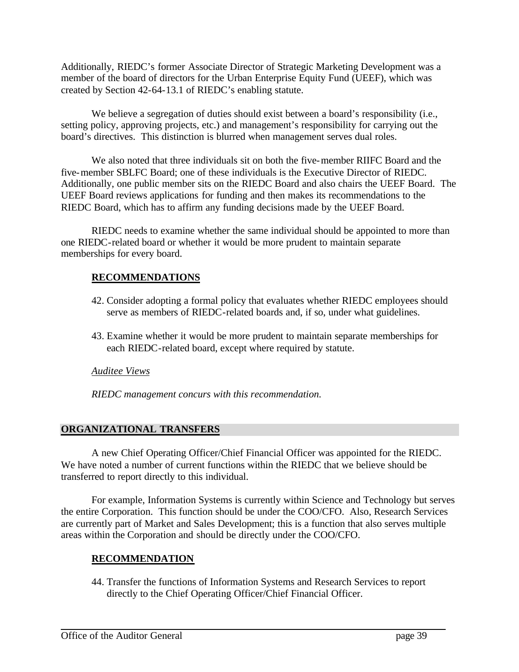Additionally, RIEDC's former Associate Director of Strategic Marketing Development was a member of the board of directors for the Urban Enterprise Equity Fund (UEEF), which was created by Section 42-64-13.1 of RIEDC's enabling statute.

We believe a segregation of duties should exist between a board's responsibility (i.e., setting policy, approving projects, etc.) and management's responsibility for carrying out the board's directives. This distinction is blurred when management serves dual roles.

We also noted that three individuals sit on both the five-member RIIFC Board and the five-member SBLFC Board; one of these individuals is the Executive Director of RIEDC. Additionally, one public member sits on the RIEDC Board and also chairs the UEEF Board. The UEEF Board reviews applications for funding and then makes its recommendations to the RIEDC Board, which has to affirm any funding decisions made by the UEEF Board.

RIEDC needs to examine whether the same individual should be appointed to more than one RIEDC-related board or whether it would be more prudent to maintain separate memberships for every board.

### **RECOMMENDATIONS**

- 42. Consider adopting a formal policy that evaluates whether RIEDC employees should serve as members of RIEDC-related boards and, if so, under what guidelines.
- 43. Examine whether it would be more prudent to maintain separate memberships for each RIEDC-related board, except where required by statute.

### *Auditee Views*

*RIEDC management concurs with this recommendation.*

### **ORGANIZATIONAL TRANSFERS**

A new Chief Operating Officer/Chief Financial Officer was appointed for the RIEDC. We have noted a number of current functions within the RIEDC that we believe should be transferred to report directly to this individual.

For example, Information Systems is currently within Science and Technology but serves the entire Corporation. This function should be under the COO/CFO. Also, Research Services are currently part of Market and Sales Development; this is a function that also serves multiple areas within the Corporation and should be directly under the COO/CFO.

### **RECOMMENDATION**

44. Transfer the functions of Information Systems and Research Services to report directly to the Chief Operating Officer/Chief Financial Officer.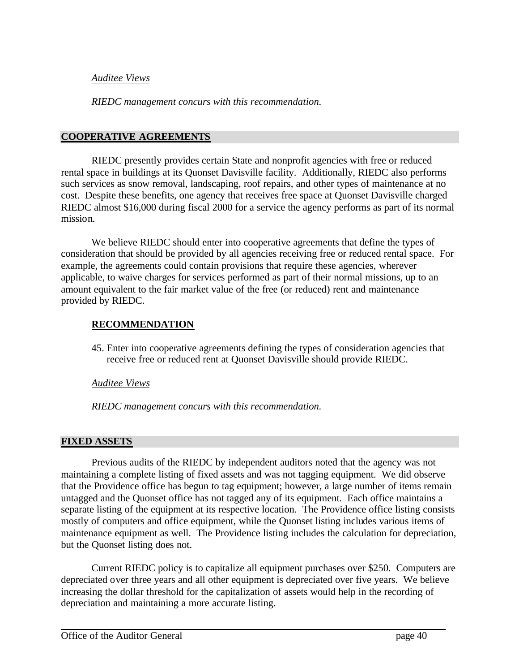### *Auditee Views*

*RIEDC management concurs with this recommendation.*

### **COOPERATIVE AGREEMENTS**

RIEDC presently provides certain State and nonprofit agencies with free or reduced rental space in buildings at its Quonset Davisville facility. Additionally, RIEDC also performs such services as snow removal, landscaping, roof repairs, and other types of maintenance at no cost. Despite these benefits, one agency that receives free space at Quonset Davisville charged RIEDC almost \$16,000 during fiscal 2000 for a service the agency performs as part of its normal mission.

We believe RIEDC should enter into cooperative agreements that define the types of consideration that should be provided by all agencies receiving free or reduced rental space. For example, the agreements could contain provisions that require these agencies, wherever applicable, to waive charges for services performed as part of their normal missions, up to an amount equivalent to the fair market value of the free (or reduced) rent and maintenance provided by RIEDC.

### **RECOMMENDATION**

45. Enter into cooperative agreements defining the types of consideration agencies that receive free or reduced rent at Quonset Davisville should provide RIEDC.

### *Auditee Views*

*RIEDC management concurs with this recommendation.*

### **FIXED ASSETS**

Previous audits of the RIEDC by independent auditors noted that the agency was not maintaining a complete listing of fixed assets and was not tagging equipment. We did observe that the Providence office has begun to tag equipment; however, a large number of items remain untagged and the Quonset office has not tagged any of its equipment. Each office maintains a separate listing of the equipment at its respective location. The Providence office listing consists mostly of computers and office equipment, while the Quonset listing includes various items of maintenance equipment as well. The Providence listing includes the calculation for depreciation, but the Quonset listing does not.

Current RIEDC policy is to capitalize all equipment purchases over \$250. Computers are depreciated over three years and all other equipment is depreciated over five years. We believe increasing the dollar threshold for the capitalization of assets would help in the recording of depreciation and maintaining a more accurate listing.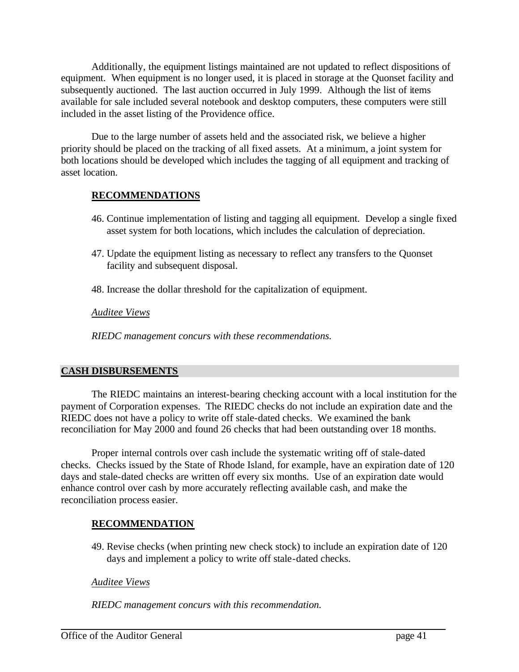Additionally, the equipment listings maintained are not updated to reflect dispositions of equipment. When equipment is no longer used, it is placed in storage at the Quonset facility and subsequently auctioned. The last auction occurred in July 1999. Although the list of items available for sale included several notebook and desktop computers, these computers were still included in the asset listing of the Providence office.

Due to the large number of assets held and the associated risk, we believe a higher priority should be placed on the tracking of all fixed assets. At a minimum, a joint system for both locations should be developed which includes the tagging of all equipment and tracking of asset location.

### **RECOMMENDATIONS**

- 46. Continue implementation of listing and tagging all equipment. Develop a single fixed asset system for both locations, which includes the calculation of depreciation.
- 47. Update the equipment listing as necessary to reflect any transfers to the Quonset facility and subsequent disposal.
- 48. Increase the dollar threshold for the capitalization of equipment.

### *Auditee Views*

*RIEDC management concurs with these recommendations.*

### **CASH DISBURSEMENTS**

The RIEDC maintains an interest-bearing checking account with a local institution for the payment of Corporation expenses. The RIEDC checks do not include an expiration date and the RIEDC does not have a policy to write off stale-dated checks. We examined the bank reconciliation for May 2000 and found 26 checks that had been outstanding over 18 months.

Proper internal controls over cash include the systematic writing off of stale-dated checks. Checks issued by the State of Rhode Island, for example, have an expiration date of 120 days and stale-dated checks are written off every six months. Use of an expiration date would enhance control over cash by more accurately reflecting available cash, and make the reconciliation process easier.

### **RECOMMENDATION**

49. Revise checks (when printing new check stock) to include an expiration date of 120 days and implement a policy to write off stale-dated checks.

### *Auditee Views*

*RIEDC management concurs with this recommendation.*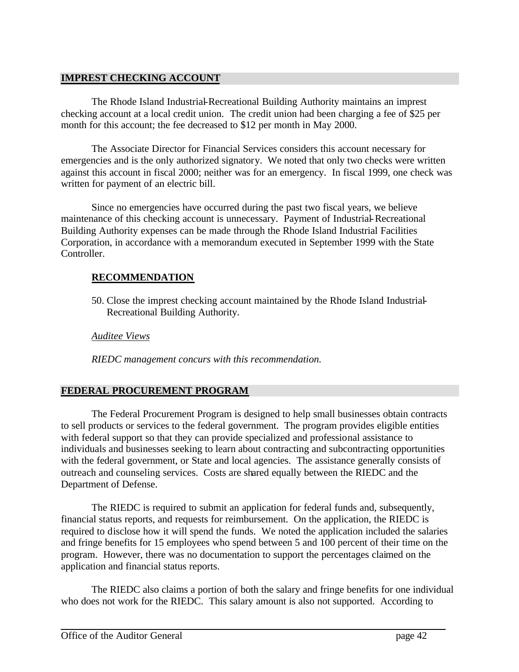### **IMPREST CHECKING ACCOUNT**

The Rhode Island Industrial-Recreational Building Authority maintains an imprest checking account at a local credit union. The credit union had been charging a fee of \$25 per month for this account; the fee decreased to \$12 per month in May 2000.

The Associate Director for Financial Services considers this account necessary for emergencies and is the only authorized signatory. We noted that only two checks were written against this account in fiscal 2000; neither was for an emergency. In fiscal 1999, one check was written for payment of an electric bill.

Since no emergencies have occurred during the past two fiscal years, we believe maintenance of this checking account is unnecessary. Payment of Industrial-Recreational Building Authority expenses can be made through the Rhode Island Industrial Facilities Corporation, in accordance with a memorandum executed in September 1999 with the State Controller.

### **RECOMMENDATION**

50. Close the imprest checking account maintained by the Rhode Island Industrial-Recreational Building Authority.

*Auditee Views*

*RIEDC management concurs with this recommendation.*

### **FEDERAL PROCUREMENT PROGRAM**

The Federal Procurement Program is designed to help small businesses obtain contracts to sell products or services to the federal government. The program provides eligible entities with federal support so that they can provide specialized and professional assistance to individuals and businesses seeking to learn about contracting and subcontracting opportunities with the federal government, or State and local agencies. The assistance generally consists of outreach and counseling services. Costs are shared equally between the RIEDC and the Department of Defense.

The RIEDC is required to submit an application for federal funds and, subsequently, financial status reports, and requests for reimbursement. On the application, the RIEDC is required to disclose how it will spend the funds. We noted the application included the salaries and fringe benefits for 15 employees who spend between 5 and 100 percent of their time on the program. However, there was no documentation to support the percentages claimed on the application and financial status reports.

The RIEDC also claims a portion of both the salary and fringe benefits for one individual who does not work for the RIEDC. This salary amount is also not supported. According to